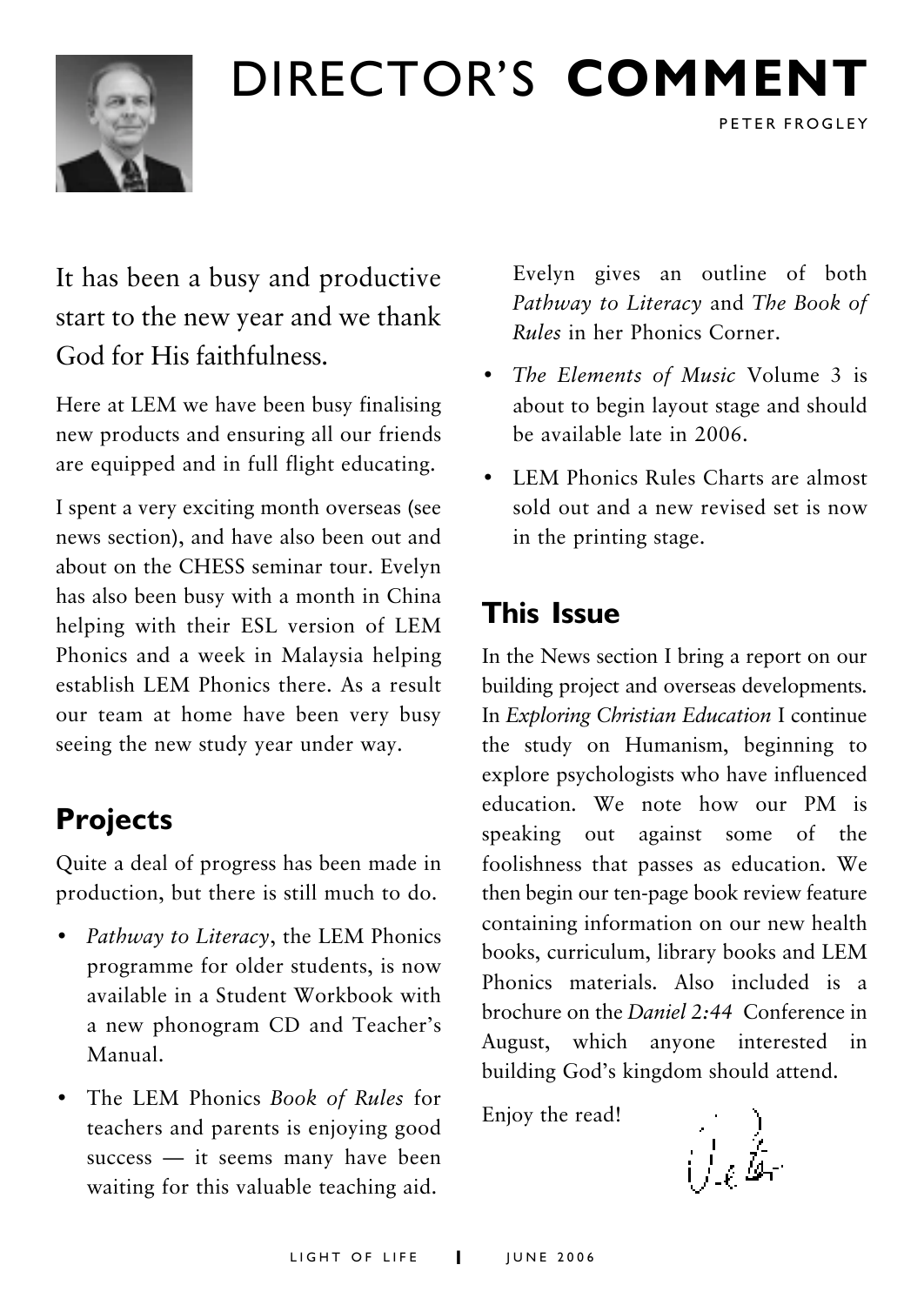

# DIRECTOR'S **COMMENT**

It has been a busy and productive start to the new year and we thank God for His faithfulness.

Here at LEM we have been busy finalising new products and ensuring all our friends are equipped and in full flight educating.

I spent a very exciting month overseas (see news section), and have also been out and about on the CHESS seminar tour. Evelyn has also been busy with a month in China helping with their ESL version of LEM Phonics and a week in Malaysia helping establish LEM Phonics there. As a result our team at home have been very busy seeing the new study year under way.

# **Projects**

Quite a deal of progress has been made in production, but there is still much to do.

- Pathway to Literacy, the LEM Phonics programme for older students, is now available in a Student Workbook with a new phonogram CD and Teacher's Manual.
- ï The LEM Phonics *Book of Rules* for teachers and parents is enjoying good  $success$   $-$  it seems many have been waiting for this valuable teaching aid.

Evelyn gives an outline of both *Pathway to Literacy* and *The Book of Rules* in her Phonics Corner.

PETER FROGLEY

- *The Elements of Music Volume 3 is* about to begin layout stage and should be available late in 2006.
- LEM Phonics Rules Charts are almost sold out and a new revised set is now in the printing stage.

# **This Issue**

In the News section I bring a report on our building project and overseas developments. In *Exploring Christian Education* I continue the study on Humanism, beginning to explore psychologists who have influenced education. We note how our PM is speaking out against some of the foolishness that passes as education. We then begin our ten-page book review feature containing information on our new health books, curriculum, library books and LEM Phonics materials. Also included is a brochure on the *Daniel 2:44* Conference in August, which anyone interested in building God's kingdom should attend.

Enjoy the read!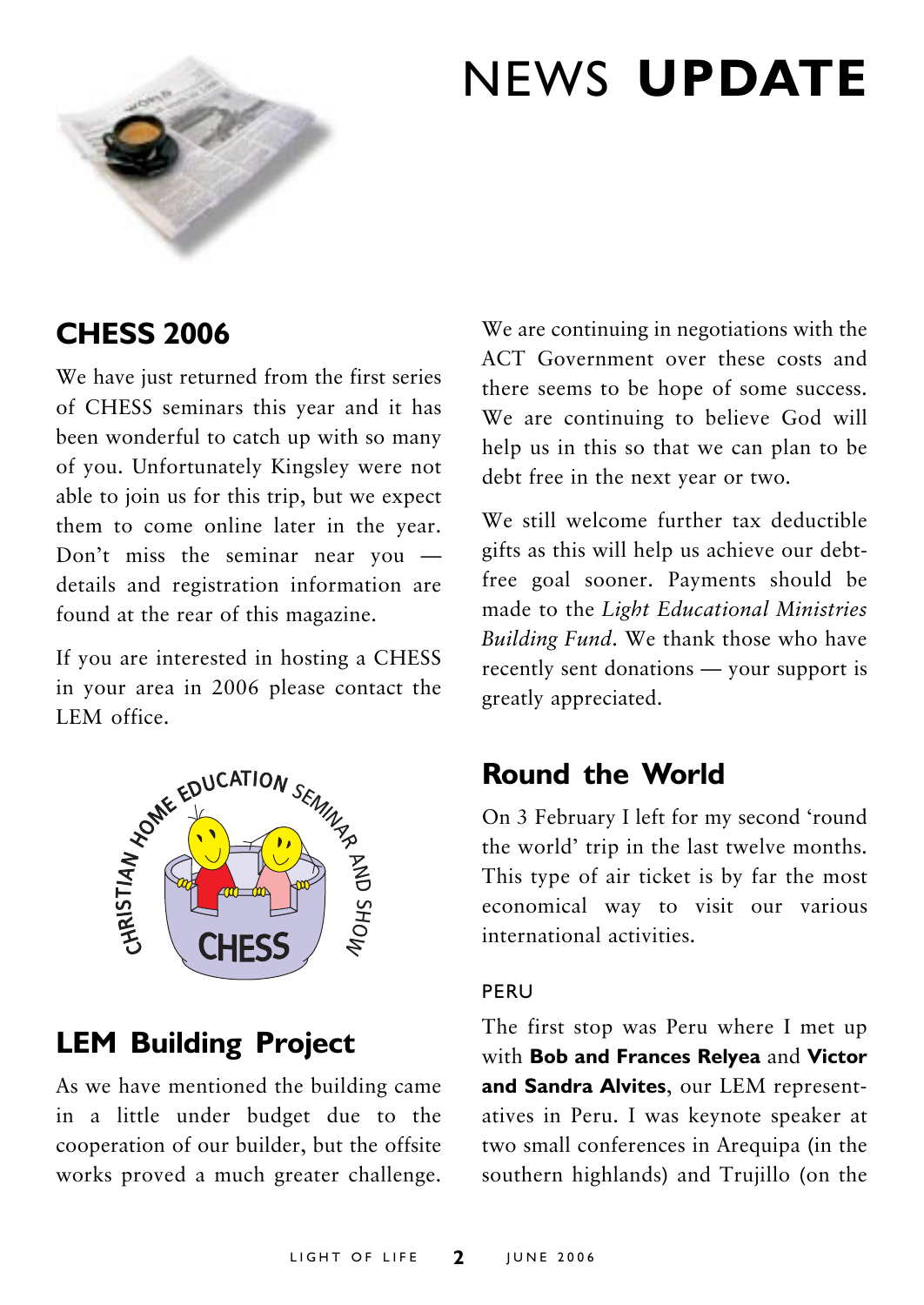

# NEWS **UPDATE**

# **CHESS 2006**

We have just returned from the first series of CHESS seminars this year and it has been wonderful to catch up with so many of you. Unfortunately Kingsley were not able to join us for this trip, but we expect them to come online later in the year. Don't miss the seminar near you  $$ details and registration information are found at the rear of this magazine.

If you are interested in hosting a CHESS in your area in 2006 please contact the



# **LEM Building Project**

As we have mentioned the building came in a little under budget due to the cooperation of our builder, but the offsite works proved a much greater challenge.

We are continuing in negotiations with the ACT Government over these costs and there seems to be hope of some success. We are continuing to believe God will help us in this so that we can plan to be debt free in the next year or two.

We still welcome further tax deductible gifts as this will help us achieve our debtfree goal sooner. Payments should be made to the *Light Educational Ministries Building Fund*. We thank those who have recently sent donations  $-$  your support is greatly appreciated.

# **Round the World**

On 3 February I left for my second 'round the world' trip in the last twelve months. This type of air ticket is by far the most economical way to visit our various international activities.

### PERU

The first stop was Peru where I met up with **Bob and Frances Relyea** and **Victor and Sandra Alvites**, our LEM representatives in Peru. I was keynote speaker at two small conferences in Arequipa (in the southern highlands) and Trujillo (on the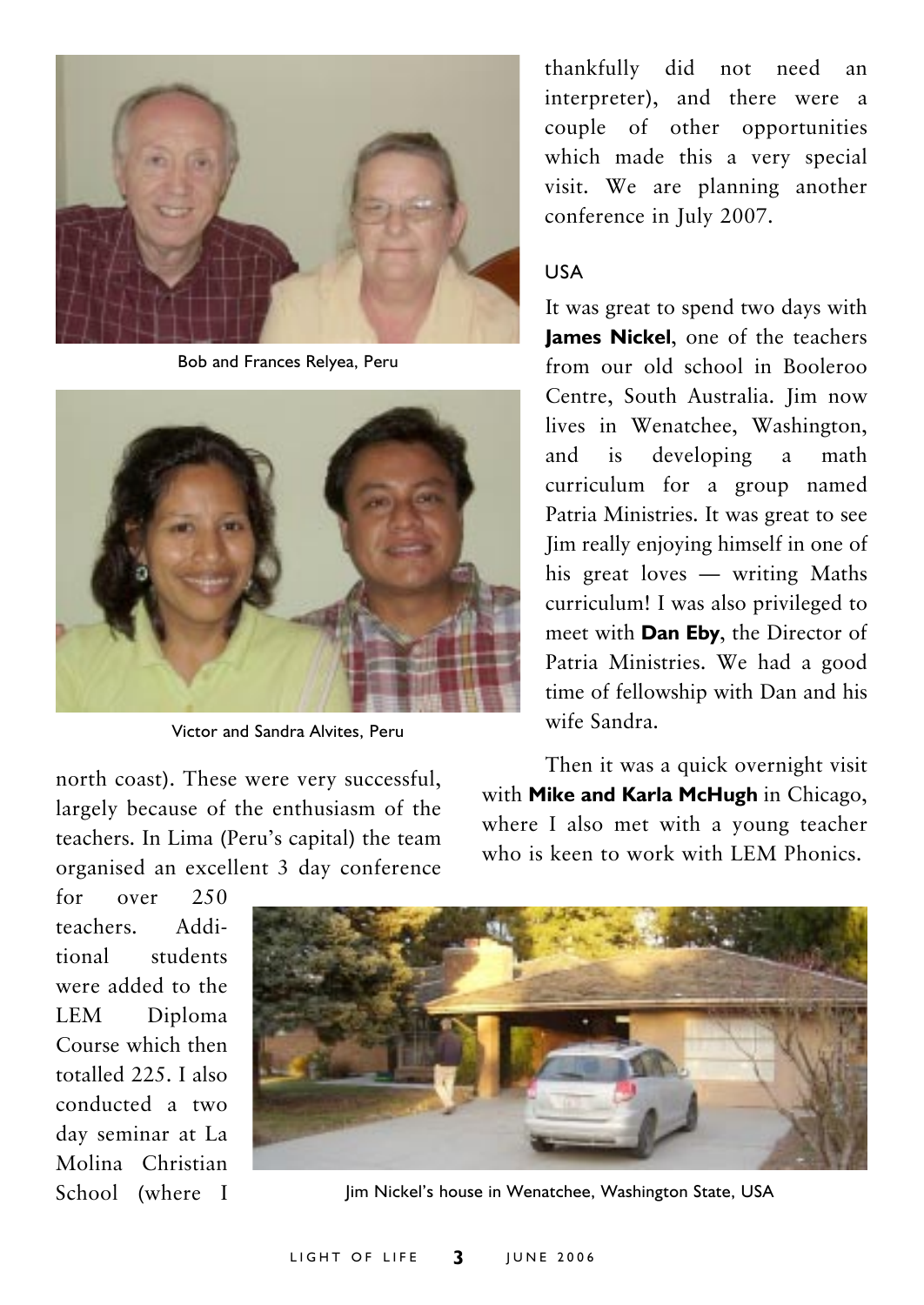

Bob and Frances Relyea, Peru



Victor and Sandra Alvites, Peru

north coast). These were very successful, largely because of the enthusiasm of the teachers. In Lima (Peru's capital) the team organised an excellent 3 day conference

thankfully did not need an interpreter), and there were a couple of other opportunities which made this a very special visit. We are planning another conference in July 2007.

#### USA

It was great to spend two days with **James Nickel**, one of the teachers from our old school in Booleroo Centre, South Australia. Jim now lives in Wenatchee, Washington, and is developing a math curriculum for a group named Patria Ministries. It was great to see Jim really enjoying himself in one of his great loves  $-$  writing Maths curriculum! I was also privileged to meet with **Dan Eby**, the Director of Patria Ministries. We had a good time of fellowship with Dan and his wife Sandra.

Then it was a quick overnight visit with **Mike and Karla McHugh** in Chicago, where I also met with a young teacher who is keen to work with LEM Phonics.

for over 250 teachers. Additional students were added to the LEM Diploma Course which then totalled 225. I also conducted a two day seminar at La Molina Christian School (where I



Jim Nickel's house in Wenatchee, Washington State, USA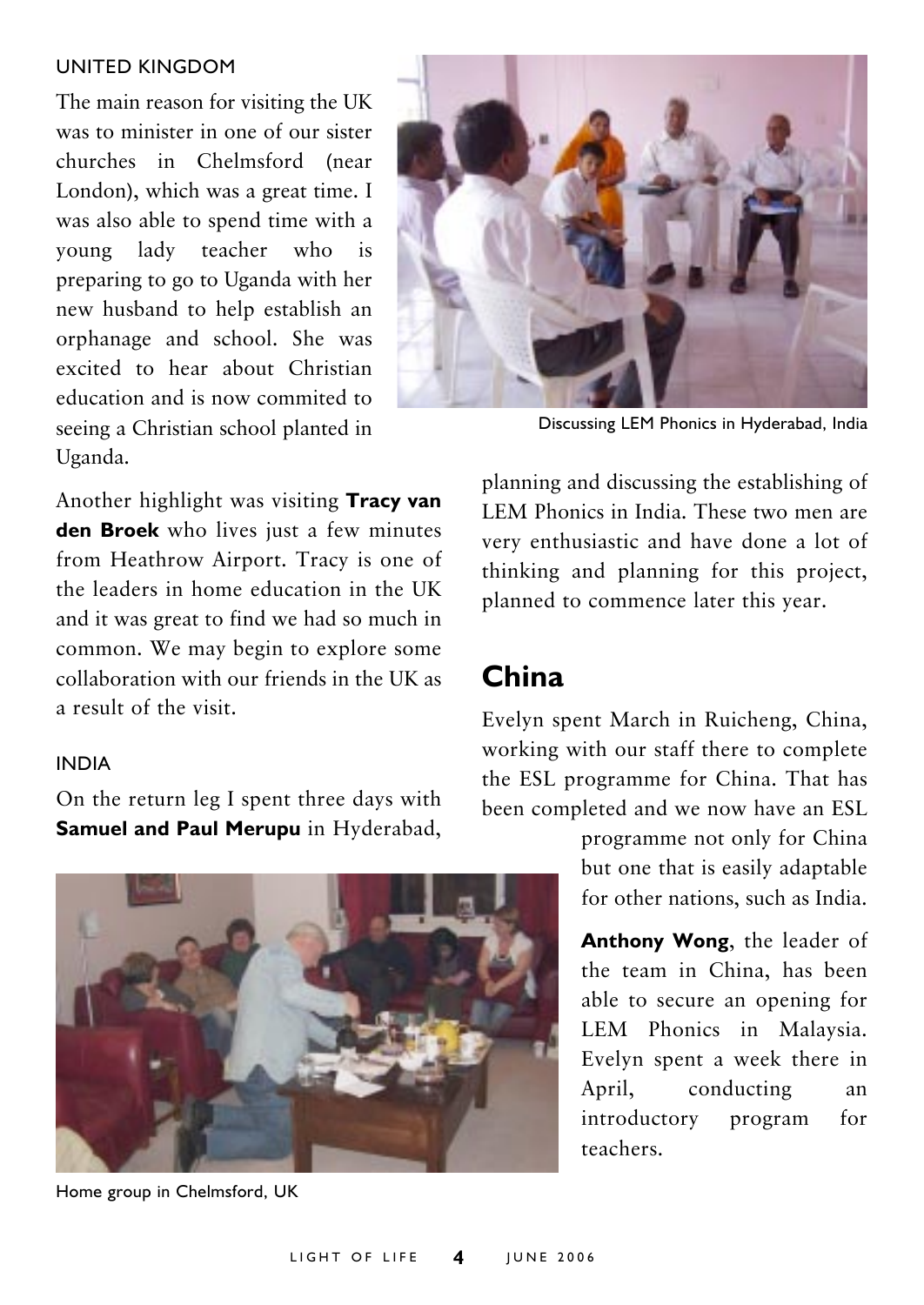#### UNITED KINGDOM

The main reason for visiting the UK was to minister in one of our sister churches in Chelmsford (near London), which was a great time. I was also able to spend time with a young lady teacher who is preparing to go to Uganda with her new husband to help establish an orphanage and school. She was excited to hear about Christian education and is now commited to seeing a Christian school planted in Uganda.



Discussing LEM Phonics in Hyderabad, India

Another highlight was visiting **Tracy van den Broek** who lives just a few minutes from Heathrow Airport. Tracy is one of the leaders in home education in the UK and it was great to find we had so much in common. We may begin to explore some collaboration with our friends in the UK as a result of the visit.

planning and discussing the establishing of LEM Phonics in India. These two men are very enthusiastic and have done a lot of thinking and planning for this project, planned to commence later this year.

# **China**

Evelyn spent March in Ruicheng, China, working with our staff there to complete the ESL programme for China. That has been completed and we now have an ESL

> programme not only for China but one that is easily adaptable for other nations, such as India.

**Anthony Wong**, the leader of the team in China, has been able to secure an opening for LEM Phonics in Malaysia. Evelyn spent a week there in April, conducting an introductory program for teachers.

### INDIA

On the return leg I spent three days with **Samuel and Paul Merupu** in Hyderabad,



Home group in Chelmsford, UK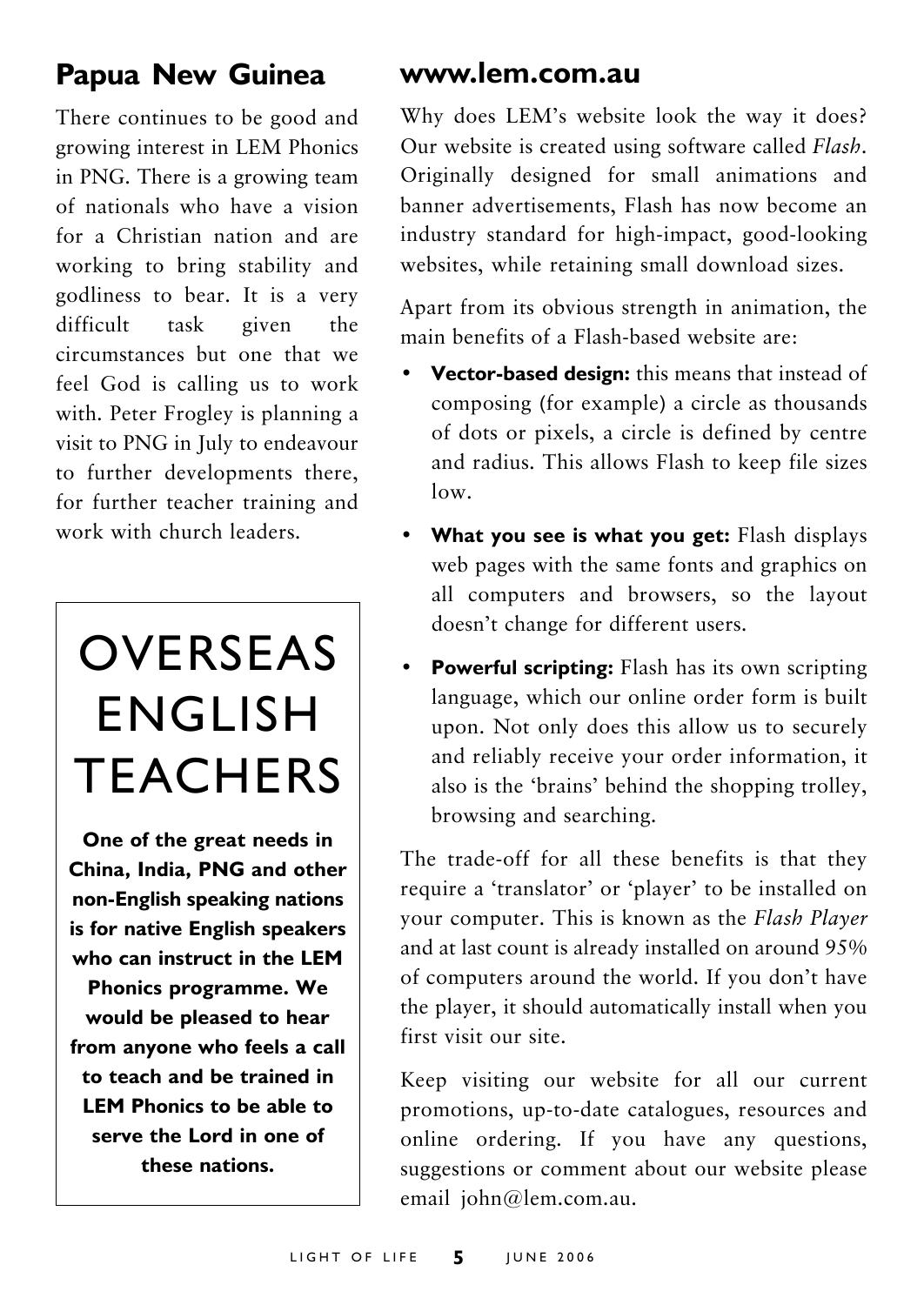# **Papua New Guinea**

There continues to be good and growing interest in LEM Phonics in PNG. There is a growing team of nationals who have a vision for a Christian nation and are working to bring stability and godliness to bear. It is a very difficult task given the circumstances but one that we feel God is calling us to work with. Peter Frogley is planning a visit to PNG in July to endeavour to further developments there, for further teacher training and work with church leaders.

# OVERSEAS ENGLISH TEACHERS

**One of the great needs in China, India, PNG and other non-English speaking nations is for native English speakers who can instruct in the LEM Phonics programme. We would be pleased to hear from anyone who feels a call to teach and be trained in LEM Phonics to be able to serve the Lord in one of these nations.**

# **www.lem.com.au**

Why does LEM's website look the way it does? Our website is created using software called *Flash*. Originally designed for small animations and banner advertisements, Flash has now become an industry standard for high-impact, good-looking websites, while retaining small download sizes.

Apart from its obvious strength in animation, the main benefits of a Flash-based website are:

- **Vector-based design:** this means that instead of composing (for example) a circle as thousands of dots or pixels, a circle is defined by centre and radius. This allows Flash to keep file sizes low.
- What you see is what you get: Flash displays web pages with the same fonts and graphics on all computers and browsers, so the layout doesn't change for different users.
- **Powerful scripting:** Flash has its own scripting language, which our online order form is built upon. Not only does this allow us to securely and reliably receive your order information, it also is the 'brains' behind the shopping trolley, browsing and searching.

The trade-off for all these benefits is that they require a 'translator' or 'player' to be installed on your computer. This is known as the *Flash Player* and at last count is already installed on around 95% of computers around the world. If you don't have the player, it should automatically install when you first visit our site.

Keep visiting our website for all our current promotions, up-to-date catalogues, resources and online ordering. If you have any questions, suggestions or comment about our website please email john@lem.com.au.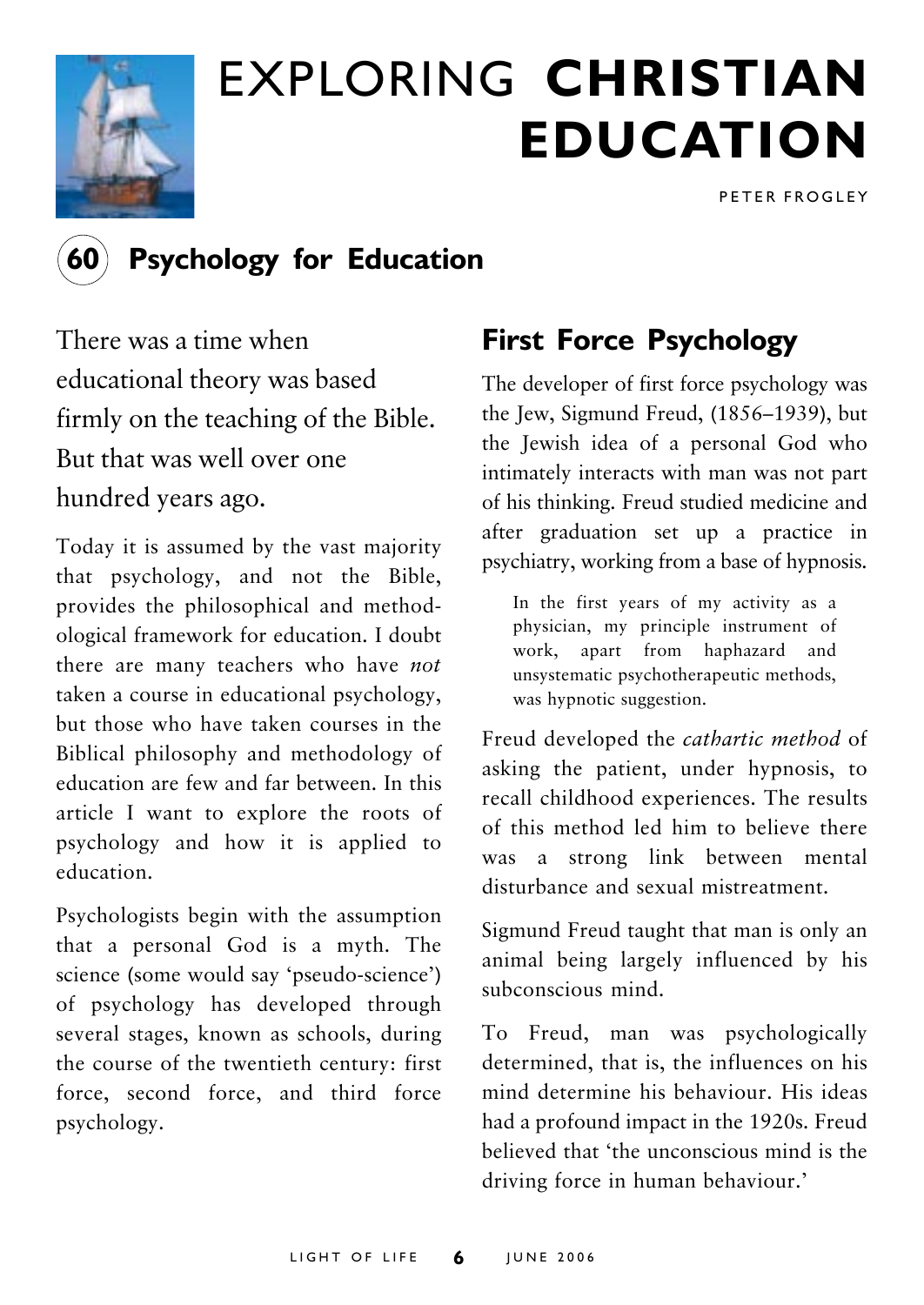

# EXPLORING **CHRISTIAN EDUCATION**

PETER FROGLEY



# **Psychology for Education**

There was a time when educational theory was based firmly on the teaching of the Bible. But that was well over one hundred years ago.

Today it is assumed by the vast majority that psychology, and not the Bible, provides the philosophical and methodological framework for education. I doubt there are many teachers who have *not* taken a course in educational psychology, but those who have taken courses in the Biblical philosophy and methodology of education are few and far between. In this article I want to explore the roots of psychology and how it is applied to education.

Psychologists begin with the assumption that a personal God is a myth. The science (some would say 'pseudo-science') of psychology has developed through several stages, known as schools, during the course of the twentieth century: first force, second force, and third force psychology.

# **First Force Psychology**

The developer of first force psychology was the Jew, Sigmund Freud,  $(1856-1939)$ , but the Jewish idea of a personal God who intimately interacts with man was not part of his thinking. Freud studied medicine and after graduation set up a practice in psychiatry, working from a base of hypnosis.

In the first years of my activity as a physician, my principle instrument of work, apart from haphazard and unsystematic psychotherapeutic methods, was hypnotic suggestion.

Freud developed the *cathartic method* of asking the patient, under hypnosis, to recall childhood experiences. The results of this method led him to believe there was a strong link between mental disturbance and sexual mistreatment.

Sigmund Freud taught that man is only an animal being largely influenced by his subconscious mind.

To Freud, man was psychologically determined, that is, the influences on his mind determine his behaviour. His ideas had a profound impact in the 1920s. Freud believed that 'the unconscious mind is the driving force in human behaviour.'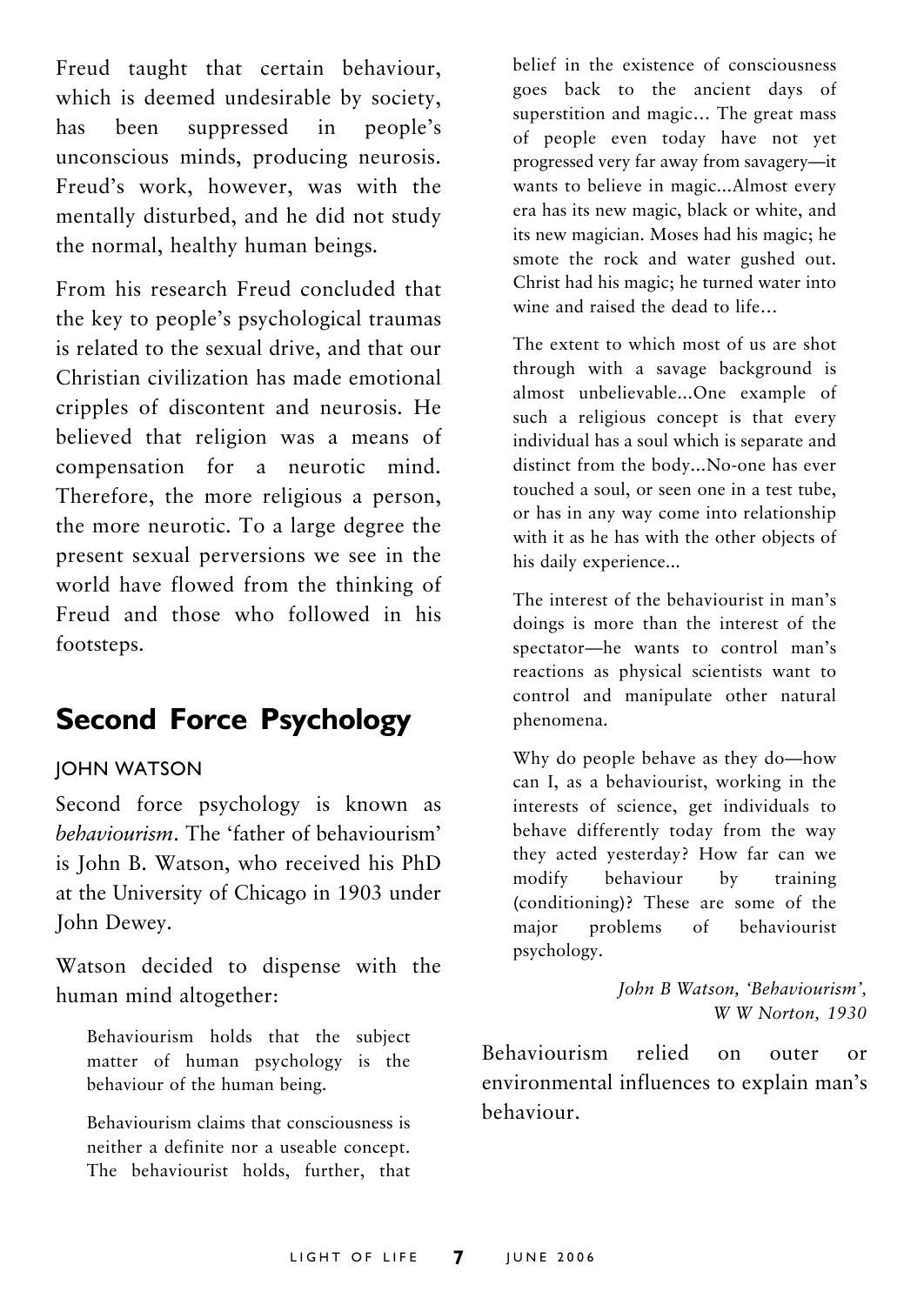Freud taught that certain behaviour, which is deemed undesirable by society, has been suppressed in people's unconscious minds, producing neurosis. Freud's work, however, was with the mentally disturbed, and he did not study the normal, healthy human beings.

From his research Freud concluded that the key to people's psychological traumas is related to the sexual drive, and that our Christian civilization has made emotional cripples of discontent and neurosis. He believed that religion was a means of compensation for a neurotic mind. Therefore, the more religious a person, the more neurotic. To a large degree the present sexual perversions we see in the world have flowed from the thinking of Freud and those who followed in his footsteps.

# **Second Force Psychology**

# JOHN WATSON

Second force psychology is known as *behaviourism*. The 'father of behaviourism' is John B. Watson, who received his PhD at the University of Chicago in 1903 under John Dewey.

Watson decided to dispense with the human mind altogether:

Behaviourism holds that the subject matter of human psychology is the behaviour of the human being.

Behaviourism claims that consciousness is neither a definite nor a useable concept. The behaviourist holds, further, that belief in the existence of consciousness goes back to the ancient days of superstition and magic... The great mass of people even today have not yet progressed very far away from savagery-it wants to believe in magic...Almost every era has its new magic, black or white, and its new magician. Moses had his magic; he smote the rock and water gushed out. Christ had his magic; he turned water into wine and raised the dead to life

The extent to which most of us are shot through with a savage background is almost unbelievable...One example of such a religious concept is that every individual has a soul which is separate and distinct from the body...No-one has ever touched a soul, or seen one in a test tube, or has in any way come into relationship with it as he has with the other objects of his daily experience...

The interest of the behaviourist in man's doings is more than the interest of the spectator-he wants to control man's reactions as physical scientists want to control and manipulate other natural phenomena.

Why do people behave as they do-how can I, as a behaviourist, working in the interests of science, get individuals to behave differently today from the way they acted yesterday? How far can we modify behaviour by training (conditioning)? These are some of the major problems of behaviourist psychology.

> *John B Watson, ëBehaviourismí, W W Norton, 1930*

Behaviourism relied on outer or environmental influences to explain man's behaviour.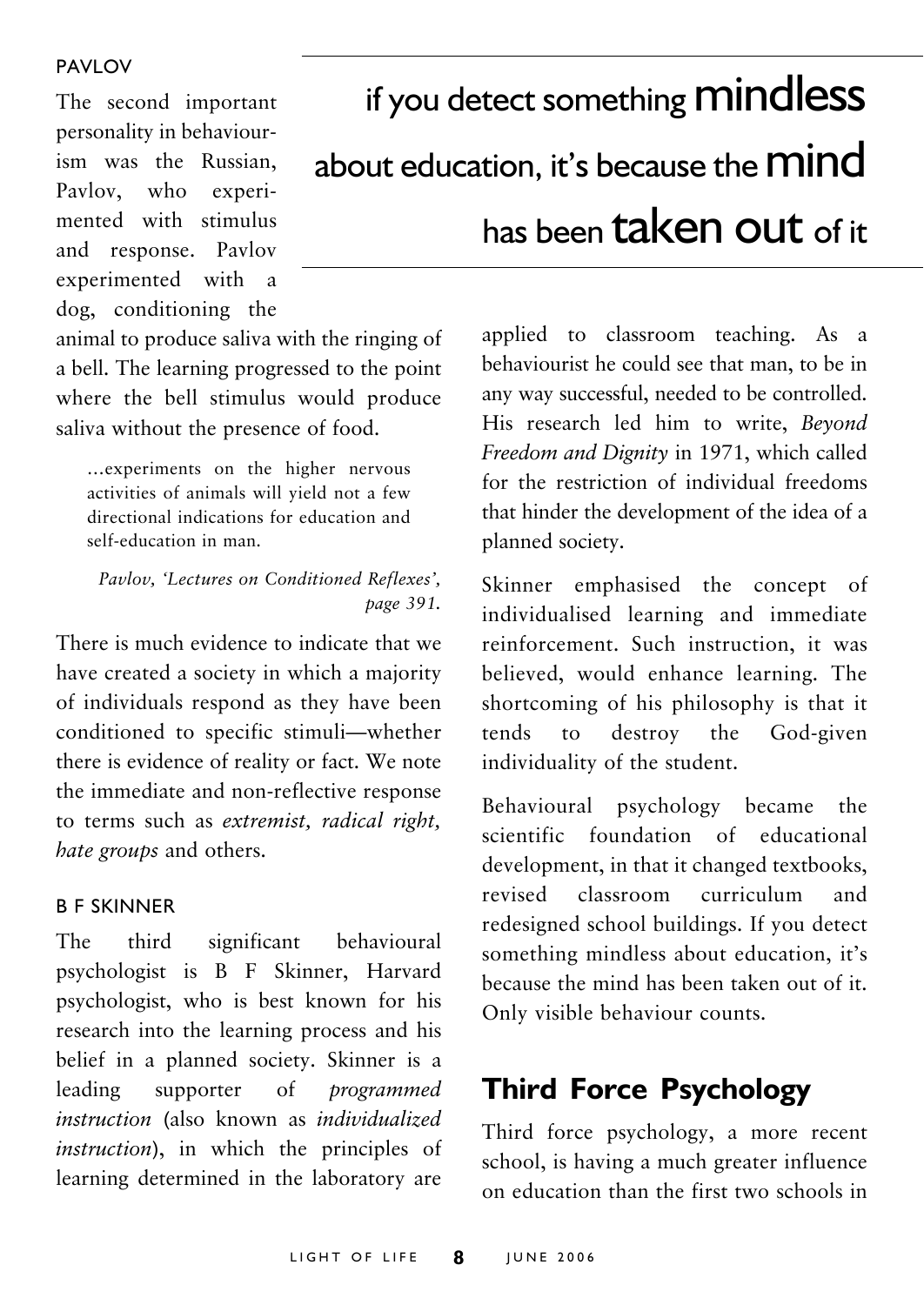The second important personality in behaviourism was the Russian, Pavlov, who experimented with stimulus and response. Pavlov experimented with a dog, conditioning the

# if you detect something **mindless** about education, it's because the **mind** has been taken out of it

animal to produce saliva with the ringing of a bell. The learning progressed to the point where the bell stimulus would produce saliva without the presence of food.

... experiments on the higher nervous activities of animals will yield not a few directional indications for education and self-education in man.

### *Pavlov, ëLectures on Conditioned Reflexesí, page 391.*

There is much evidence to indicate that we have created a society in which a majority of individuals respond as they have been conditioned to specific stimuli-whether there is evidence of reality or fact. We note the immediate and non-reflective response to terms such as *extremist, radical right, hate groups* and others.

### B F SKINNER

The third significant behavioural psychologist is B F Skinner, Harvard psychologist, who is best known for his research into the learning process and his belief in a planned society. Skinner is a leading supporter of *programmed instruction* (also known as *individualized instruction*), in which the principles of learning determined in the laboratory are

applied to classroom teaching. As a behaviourist he could see that man, to be in any way successful, needed to be controlled. His research led him to write, *Beyond Freedom and Dignity* in 1971, which called for the restriction of individual freedoms that hinder the development of the idea of a planned society.

Skinner emphasised the concept of individualised learning and immediate reinforcement. Such instruction, it was believed, would enhance learning. The shortcoming of his philosophy is that it tends to destroy the God-given individuality of the student.

Behavioural psychology became the scientific foundation of educational development, in that it changed textbooks, revised classroom curriculum and redesigned school buildings. If you detect something mindless about education, it's because the mind has been taken out of it. Only visible behaviour counts.

# **Third Force Psychology**

Third force psychology, a more recent school, is having a much greater influence on education than the first two schools in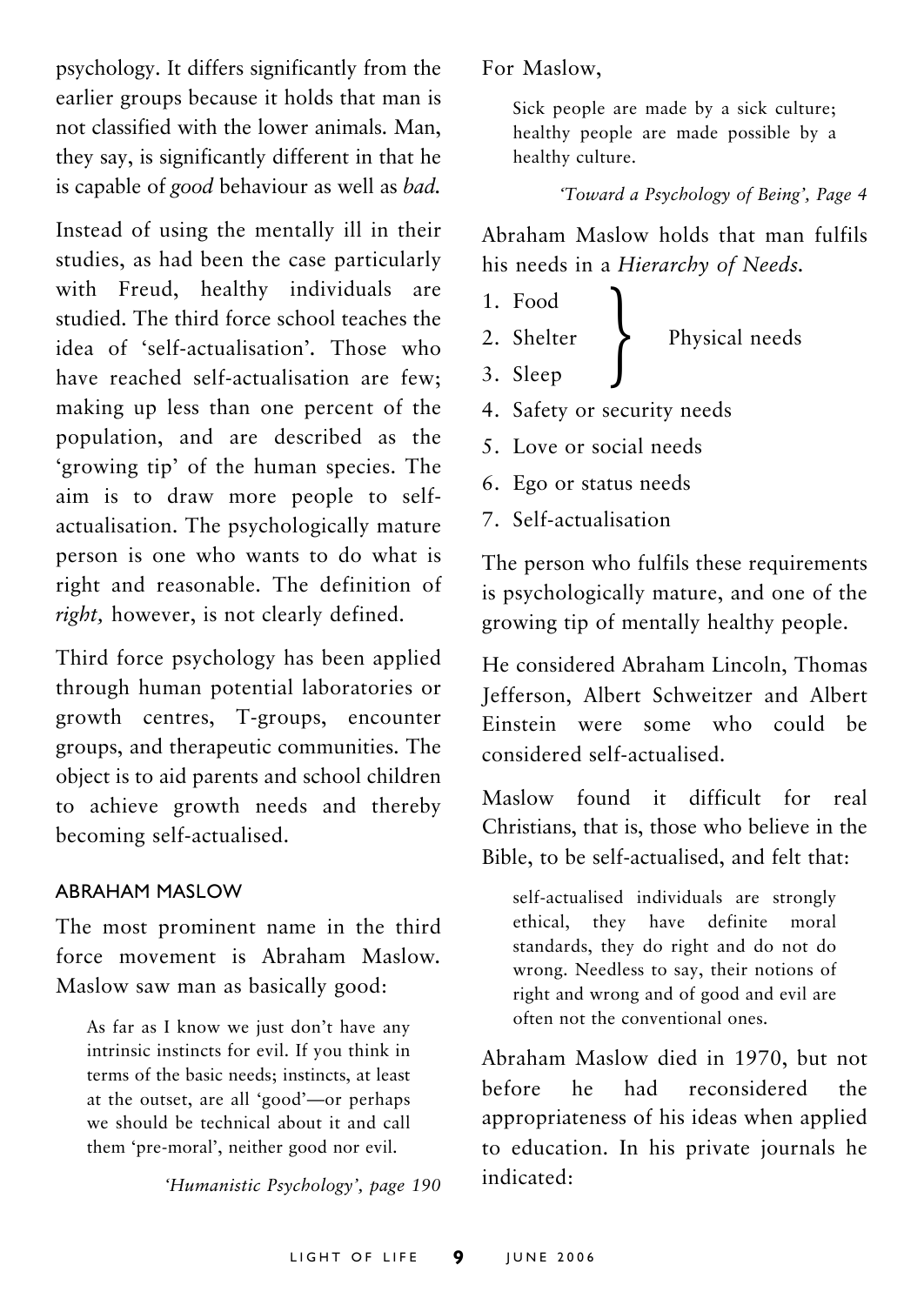psychology. It differs significantly from the earlier groups because it holds that man is not classified with the lower animals. Man, they say, is significantly different in that he is capable of *good* behaviour as well as *bad.*

Instead of using the mentally ill in their studies, as had been the case particularly with Freud, healthy individuals are studied. The third force school teaches the idea of ëself-actualisationí*.* Those who have reached self-actualisation are few; making up less than one percent of the population, and are described as the 'growing tip' of the human species. The aim is to draw more people to selfactualisation. The psychologically mature person is one who wants to do what is right and reasonable. The definition of *right,* however, is not clearly defined.

Third force psychology has been applied through human potential laboratories or growth centres, T-groups, encounter groups, and therapeutic communities. The object is to aid parents and school children to achieve growth needs and thereby becoming self-actualised.

#### ABRAHAM MASLOW

The most prominent name in the third force movement is Abraham Maslow*.* Maslow saw man as basically good:

As far as I know we just don't have any intrinsic instincts for evil. If you think in terms of the basic needs; instincts, at least at the outset, are all 'good'—or perhaps we should be technical about it and call them 'pre-moral', neither good nor evil.

*ëHumanistic Psychologyí, page 190*

For Maslow,

Sick people are made by a sick culture; healthy people are made possible by a healthy culture.

*ëToward a Psychology of Beingí, Page 4*

Abraham Maslow holds that man fulfils his needs in a *Hierarchy of Needs.*

- 1. Food
- Physical needs 2. Shelter<br>3. Sleep
- 
- 4. Safety or security needs
- 5. Love or social needs
- 6. Ego or status needs
- 7. Self-actualisation

The person who fulfils these requirements is psychologically mature, and one of the growing tip of mentally healthy people.

He considered Abraham Lincoln, Thomas Jefferson, Albert Schweitzer and Albert Einstein were some who could be considered self-actualised.

Maslow found it difficult for real Christians, that is, those who believe in the Bible, to be self-actualised, and felt that:

self-actualised individuals are strongly ethical, they have definite moral standards, they do right and do not do wrong. Needless to say, their notions of right and wrong and of good and evil are often not the conventional ones.

Abraham Maslow died in 1970, but not before he had reconsidered the appropriateness of his ideas when applied to education. In his private journals he indicated: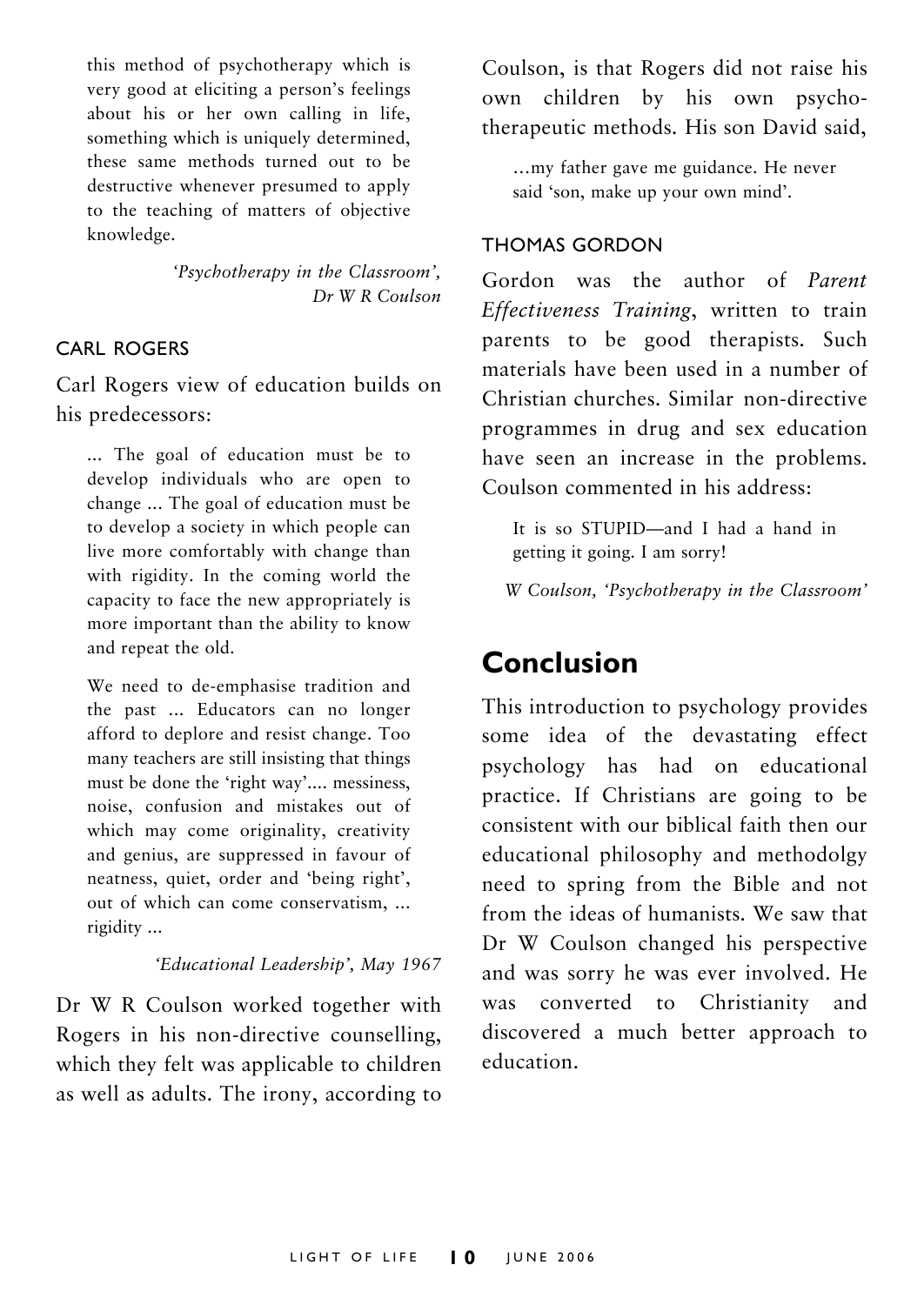this method of psychotherapy which is very good at eliciting a person's feelings about his or her own calling in life, something which is uniquely determined, these same methods turned out to be destructive whenever presumed to apply to the teaching of matters of objective knowledge.

> *ëPsychotherapy in the Classroomí, Dr W R Coulson*

### CARL ROGERS

Carl Rogers view of education builds on his predecessors:

... The goal of education must be to develop individuals who are open to change ... The goal of education must be to develop a society in which people can live more comfortably with change than with rigidity. In the coming world the capacity to face the new appropriately is more important than the ability to know and repeat the old.

We need to de-emphasise tradition and the past ... Educators can no longer afford to deplore and resist change. Too many teachers are still insisting that things must be done the 'right way'.... messiness, noise, confusion and mistakes out of which may come originality, creativity and genius, are suppressed in favour of neatness, quiet, order and 'being right', out of which can come conservatism, ... rigidity ...

*ëEducational Leadershipí, May 1967*

Dr W R Coulson worked together with Rogers in his non-directive counselling, which they felt was applicable to children as well as adults. The irony, according to

Coulson, is that Rogers did not raise his own children by his own psychotherapeutic methods. His son David said,

...my father gave me guidance. He never said 'son, make up your own mind'.

#### THOMAS GORDON

Gordon was the author of *Parent Effectiveness Training*, written to train parents to be good therapists. Such materials have been used in a number of Christian churches. Similar non-directive programmes in drug and sex education have seen an increase in the problems. Coulson commented in his address:

It is so  $STUPID$  and I had a hand in getting it going. I am sorry!

*W Coulson, ëPsychotherapy in the Classroomí*

# **Conclusion**

This introduction to psychology provides some idea of the devastating effect psychology has had on educational practice. If Christians are going to be consistent with our biblical faith then our educational philosophy and methodolgy need to spring from the Bible and not from the ideas of humanists. We saw that Dr W Coulson changed his perspective and was sorry he was ever involved. He was converted to Christianity and discovered a much better approach to education.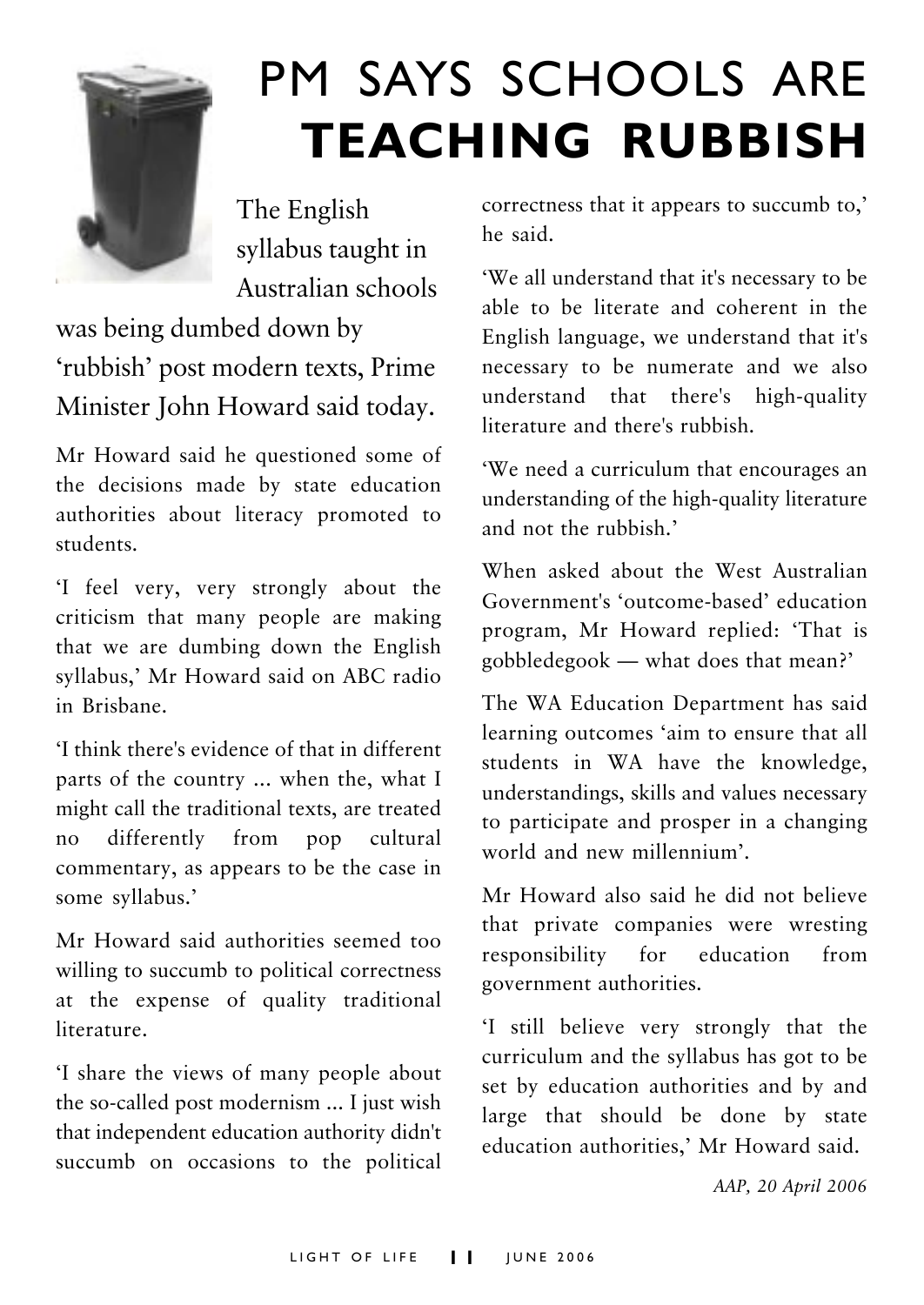

# PM SAYS SCHOOLS ARE **TEACHING RUBBISH**

The English syllabus taught in Australian schools

was being dumbed down by 'rubbish' post modern texts, Prime Minister John Howard said today.

Mr Howard said he questioned some of the decisions made by state education authorities about literacy promoted to students.

ëI feel very, very strongly about the criticism that many people are making that we are dumbing down the English syllabus,' Mr Howard said on ABC radio in Brisbane.

ëI think there's evidence of that in different parts of the country ... when the, what I might call the traditional texts, are treated no differently from pop cultural commentary, as appears to be the case in some syllabus.'

Mr Howard said authorities seemed too willing to succumb to political correctness at the expense of quality traditional literature.

ëI share the views of many people about the so-called post modernism ... I just wish that independent education authority didn't succumb on occasions to the political correctness that it appears to succumb to,' he said.

ëWe all understand that it's necessary to be able to be literate and coherent in the English language, we understand that it's necessary to be numerate and we also understand that there's high-quality literature and there's rubbish.

ëWe need a curriculum that encourages an understanding of the high-quality literature and not the rubbish<sup>,</sup>

When asked about the West Australian Government's 'outcome-based' education program, Mr Howard replied: 'That is gobbledegook  $-$  what does that mean?

The WA Education Department has said learning outcomes 'aim to ensure that all students in WA have the knowledge, understandings, skills and values necessary to participate and prosper in a changing world and new millennium'.

Mr Howard also said he did not believe that private companies were wresting responsibility for education from government authorities.

ëI still believe very strongly that the curriculum and the syllabus has got to be set by education authorities and by and large that should be done by state education authorities,' Mr Howard said.

*AAP, 20 April 2006*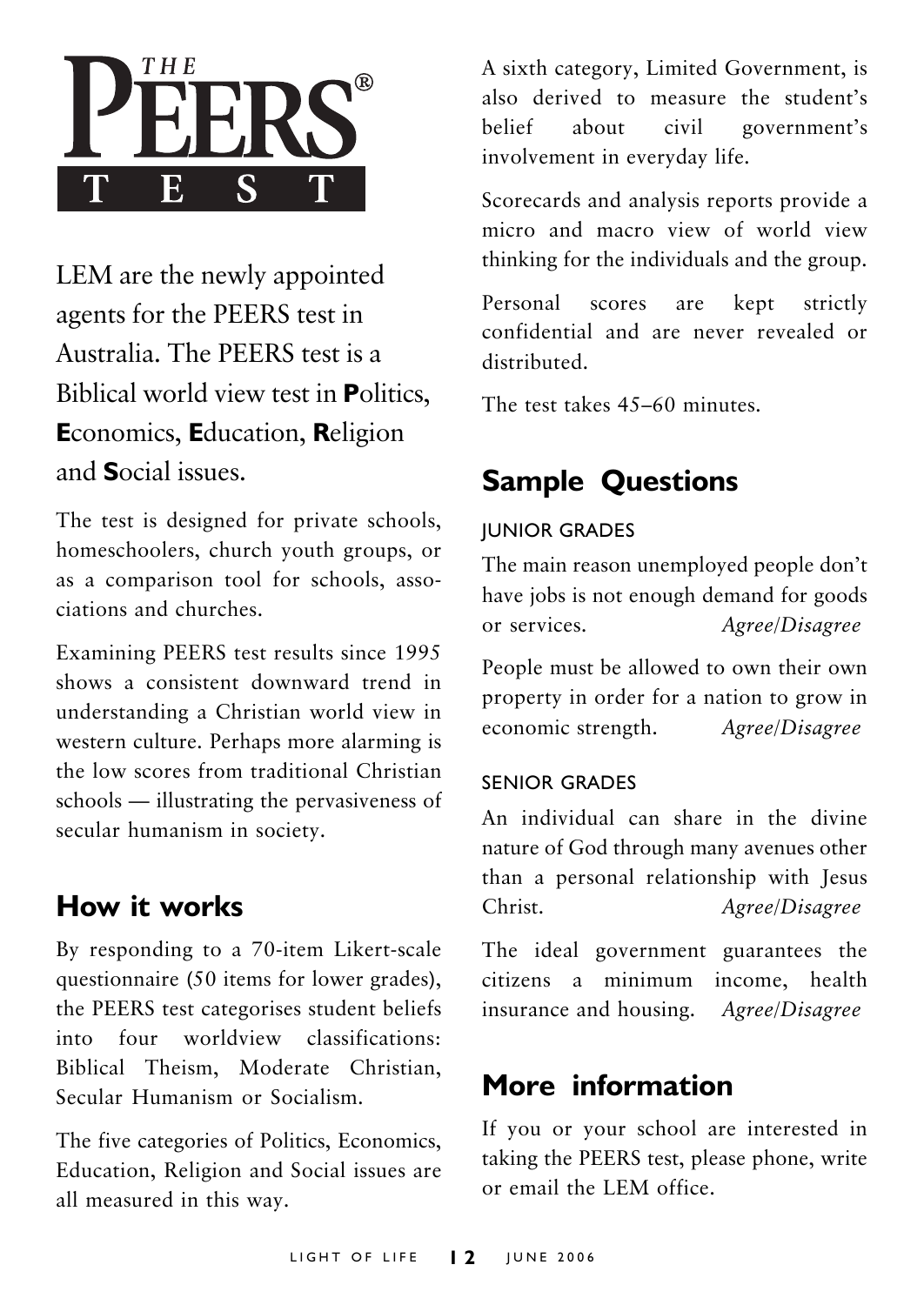

LEM are the newly appointed agents for the PEERS test in Australia. The PEERS test is a Biblical world view test in **P**olitics, **E**conomics, **E**ducation, **R**eligion and **S**ocial issues.

The test is designed for private schools, homeschoolers, church youth groups, or as a comparison tool for schools, associations and churches.

Examining PEERS test results since 1995 shows a consistent downward trend in understanding a Christian world view in western culture. Perhaps more alarming is the low scores from traditional Christian schools – illustrating the pervasiveness of secular humanism in society.

# **How it works**

By responding to a 70-item Likert-scale questionnaire (50 items for lower grades), the PEERS test categorises student beliefs into four worldview classifications: Biblical Theism, Moderate Christian, Secular Humanism or Socialism.

The five categories of Politics, Economics, Education, Religion and Social issues are all measured in this way.

A sixth category, Limited Government, is also derived to measure the student's belief about civil government's involvement in everyday life.

Scorecards and analysis reports provide a micro and macro view of world view thinking for the individuals and the group.

Personal scores are kept strictly confidential and are never revealed or distributed.

The test takes  $45-60$  minutes.

# **Sample Questions**

# JUNIOR GRADES

The main reason unemployed people don't have jobs is not enough demand for goods or services. *Agree/Disagree*

People must be allowed to own their own property in order for a nation to grow in economic strength. *Agree/Disagree*

# SENIOR GRADES

An individual can share in the divine nature of God through many avenues other than a personal relationship with Jesus Christ. *Agree/Disagree*

The ideal government guarantees the citizens a minimum income, health insurance and housing. *Agree/Disagree*

# **More information**

If you or your school are interested in taking the PEERS test, please phone, write or email the LEM office.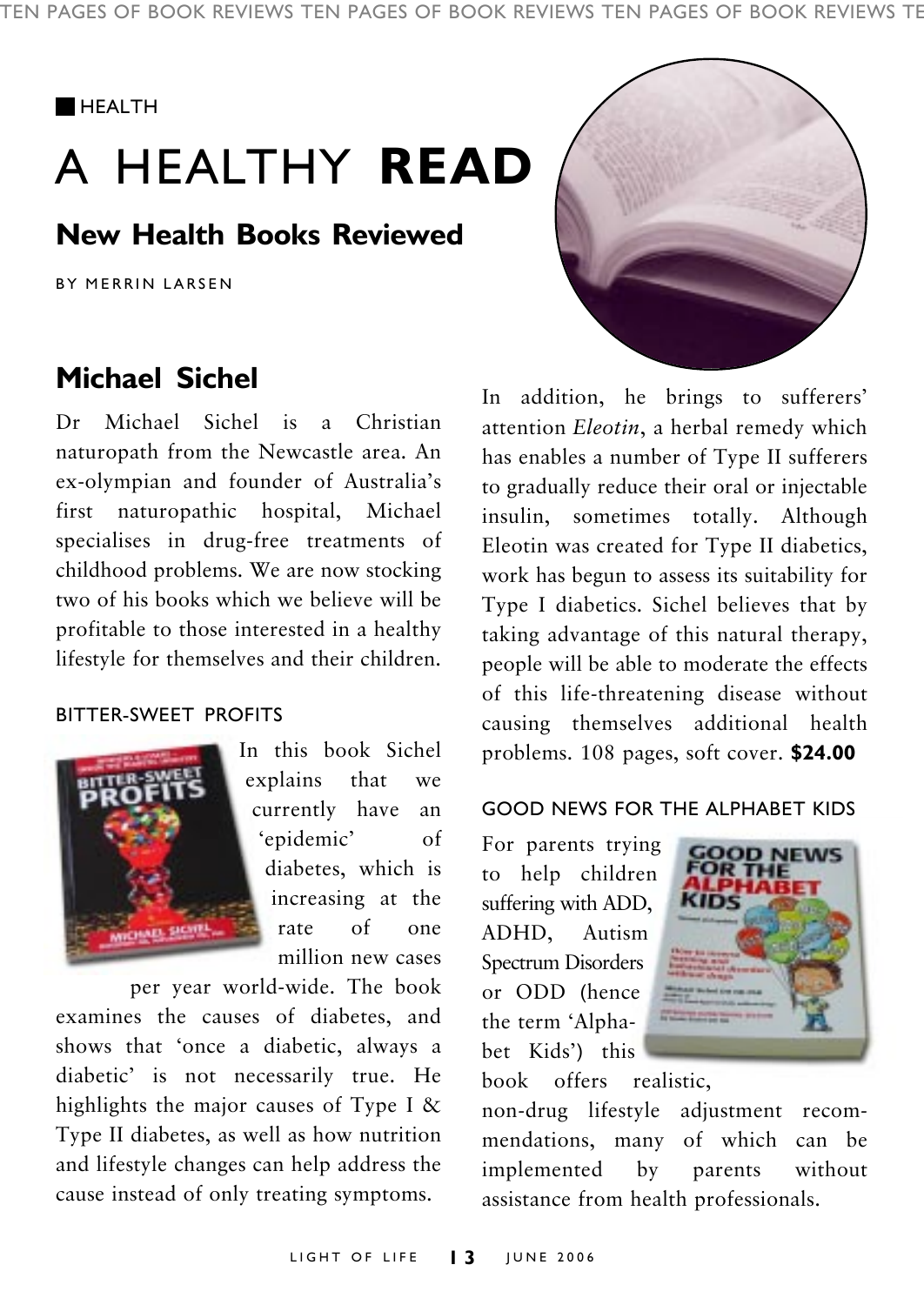TEN PAGES OF BOOK REVIEWS TEN PAGES OF BOOK REVIEWS TEN PAGES OF BOOK REVIEWS TE

#### **HEALTH**

# A HEALTHY **READ**

# **New Health Books Reviewed**

BY MERRIN LARSEN

# **Michael Sichel**

Dr Michael Sichel is a Christian naturopath from the Newcastle area. An ex-olympian and founder of Australia's first naturopathic hospital, Michael specialises in drug-free treatments of childhood problems. We are now stocking two of his books which we believe will be profitable to those interested in a healthy lifestyle for themselves and their children.

#### BITTER-SWEET PROFITS



In this book Sichel explains that we currently have an 'epidemic' of diabetes, which is increasing at the rate of one million new cases

per year world-wide. The book examines the causes of diabetes, and shows that ëonce a diabetic, always a diabetic' is not necessarily true. He highlights the major causes of Type I & Type II diabetes, as well as how nutrition and lifestyle changes can help address the cause instead of only treating symptoms.



In addition, he brings to sufferers' attention *Eleotin*, a herbal remedy which has enables a number of Type II sufferers to gradually reduce their oral or injectable insulin, sometimes totally. Although Eleotin was created for Type II diabetics, work has begun to assess its suitability for Type I diabetics. Sichel believes that by taking advantage of this natural therapy, people will be able to moderate the effects of this life-threatening disease without causing themselves additional health problems. 108 pages, soft cover. **\$24.00**

### GOOD NEWS FOR THE ALPHABET KIDS

For parents trying to help children suffering with ADD, ADHD, Autism Spectrum Disorders or ODD (hence the term 'Alphabet Kids') this



book offers realistic,

non-drug lifestyle adjustment recommendations, many of which can be implemented by parents without assistance from health professionals.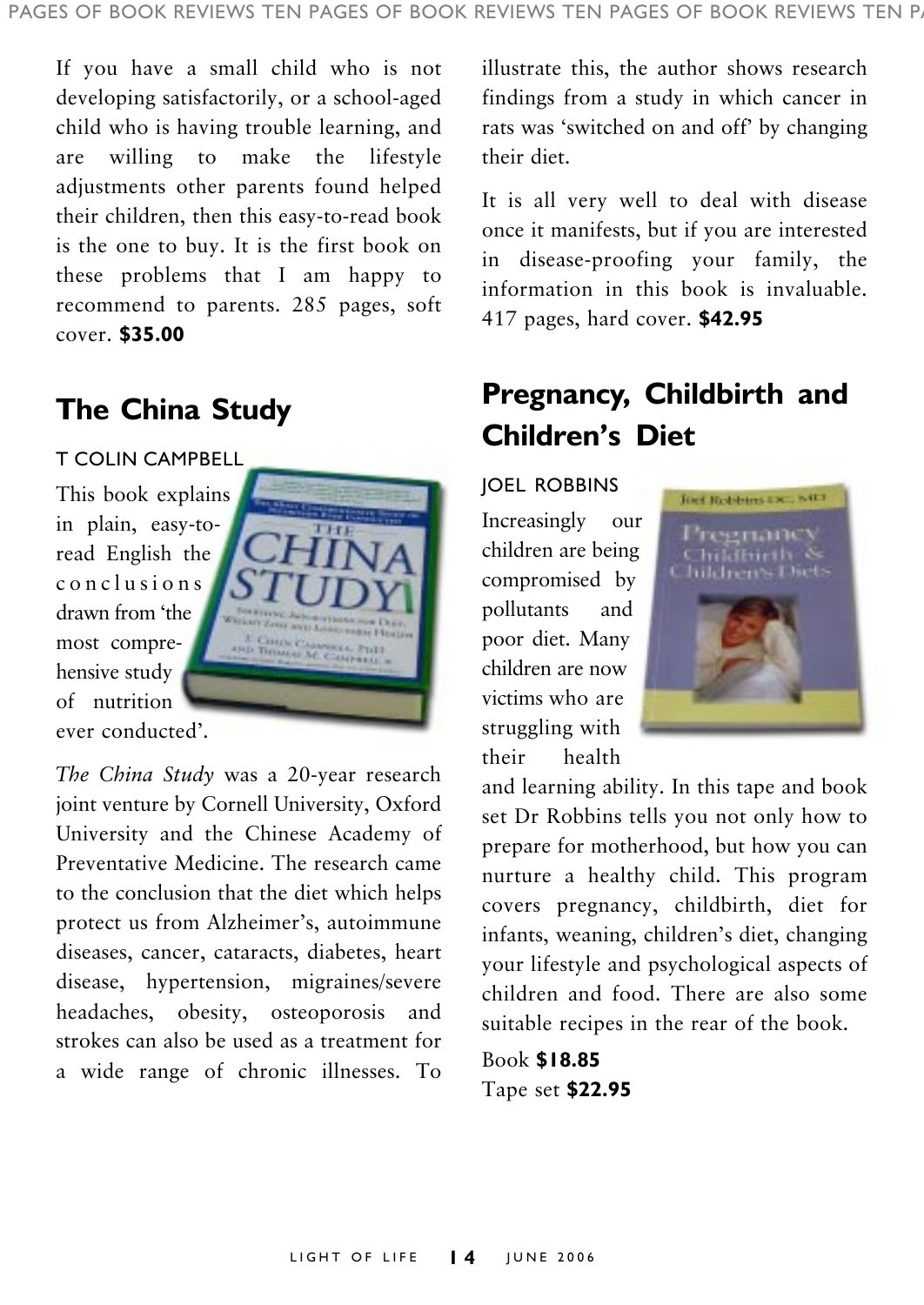If you have a small child who is not developing satisfactorily, or a school-aged child who is having trouble learning, and are willing to make the lifestyle adjustments other parents found helped their children, then this easy-to-read book is the one to buy. It is the first book on these problems that I am happy to recommend to parents. 285 pages, soft cover. **\$35.00**

# **The China Study**

T COLIN CAMPBELL This book explains in plain, easy-toread English the conclusions drawn from 'the most comprehensive study of nutrition ever conducted'.



*The China Study* was a 20-year research joint venture by Cornell University, Oxford University and the Chinese Academy of Preventative Medicine. The research came to the conclusion that the diet which helps protect us from Alzheimer's, autoimmune diseases, cancer, cataracts, diabetes, heart disease, hypertension, migraines/severe headaches, obesity, osteoporosis and strokes can also be used as a treatment for a wide range of chronic illnesses. To

illustrate this, the author shows research findings from a study in which cancer in rats was 'switched on and off' by changing their diet.

It is all very well to deal with disease once it manifests, but if you are interested in disease-proofing your family, the information in this book is invaluable. 417 pages, hard cover. **\$42.95**

# **Pregnancy, Childbirth and Childrenís Diet**

JOEL ROBBINS Increasingly our children are being compromised by pollutants and poor diet. Many children are now victims who are struggling with their health



and learning ability. In this tape and book set Dr Robbins tells you not only how to prepare for motherhood, but how you can nurture a healthy child. This program covers pregnancy, childbirth, diet for infants, weaning, children's diet, changing your lifestyle and psychological aspects of children and food. There are also some suitable recipes in the rear of the book.

Book **\$18.85** Tape set **\$22.95**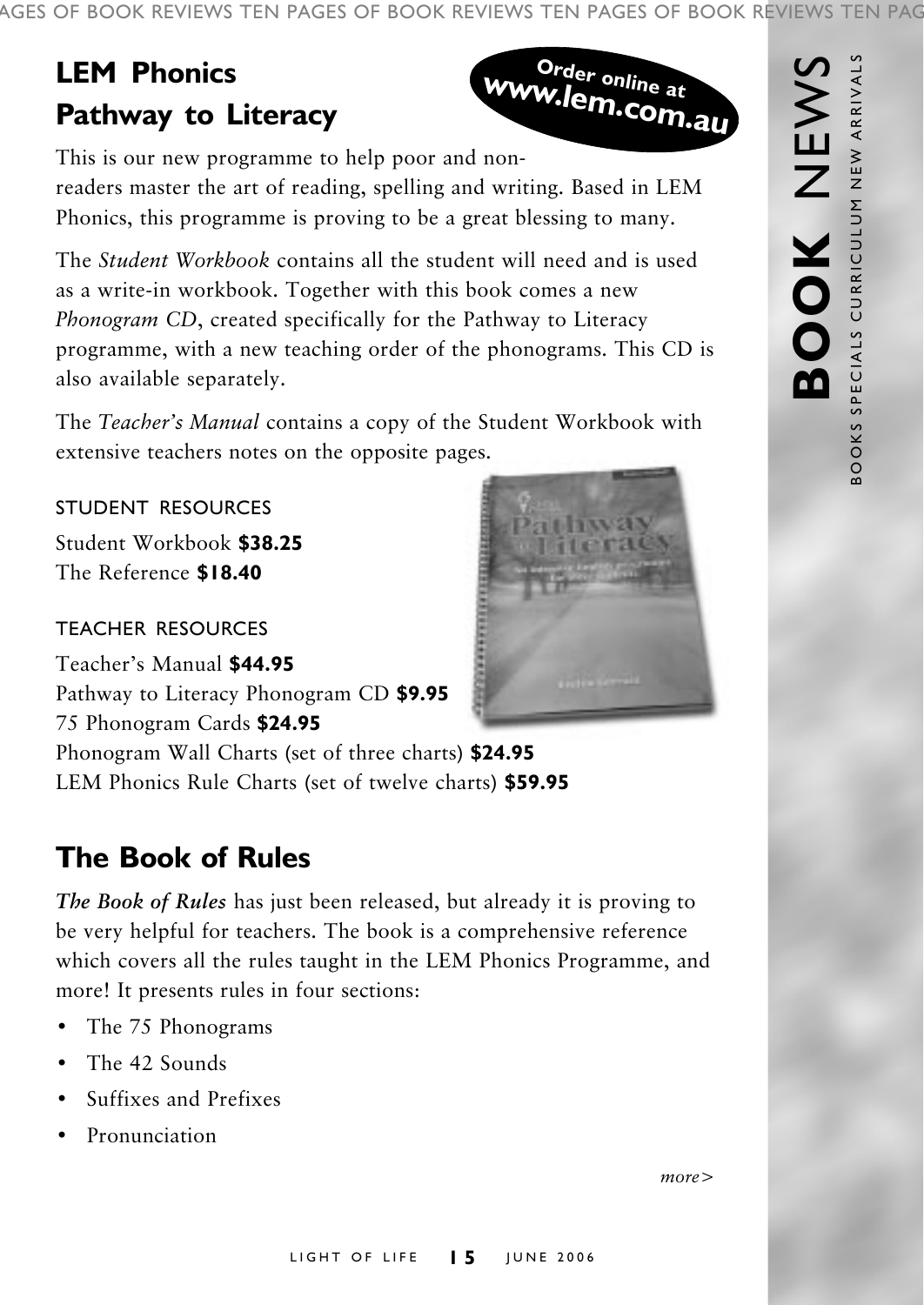AGES OF BOOK REVIEWS TEN PAGES OF BOOK REVIEWS TEN PAGES OF BOOK REVIEWS TEN PAG

# **LEM Phonics Pathway to Literacy**



**BOOK** NEWS

BOOK

**NHZ** 

BOOKS SPECIALS CURRICULUM NEW ARRIVALS

BOOKS SPECIALS CURRICULUM NEW ARRIVALS

This is our new programme to help poor and nonreaders master the art of reading, spelling and writing. Based in LEM Phonics, this programme is proving to be a great blessing to many.

The *Student Workbook* contains all the student will need and is used as a write-in workbook. Together with this book comes a new *Phonogram CD*, created specifically for the Pathway to Literacy programme, with a new teaching order of the phonograms. This CD is also available separately.

The *Teacher's Manual* contains a copy of the Student Workbook with extensive teachers notes on the opposite pages.

# STUDENT RESOURCES

Student Workbook **\$38.25** The Reference **\$18.40**

### TEACHER RESOURCES

Teacherís Manual **\$44.95** Pathway to Literacy Phonogram CD **\$9.95** 75 Phonogram Cards **\$24.95** Phonogram Wall Charts (set of three charts) **\$24.95** LEM Phonics Rule Charts (set of twelve charts) **\$59.95**

# **The Book of Rules**

*The Book of Rules* has just been released, but already it is proving to be very helpful for teachers. The book is a comprehensive reference which covers all the rules taught in the LEM Phonics Programme, and more! It presents rules in four sections:

- The 75 Phonograms
- The 42 Sounds
- Suffixes and Prefixes
- Pronunciation



*more>*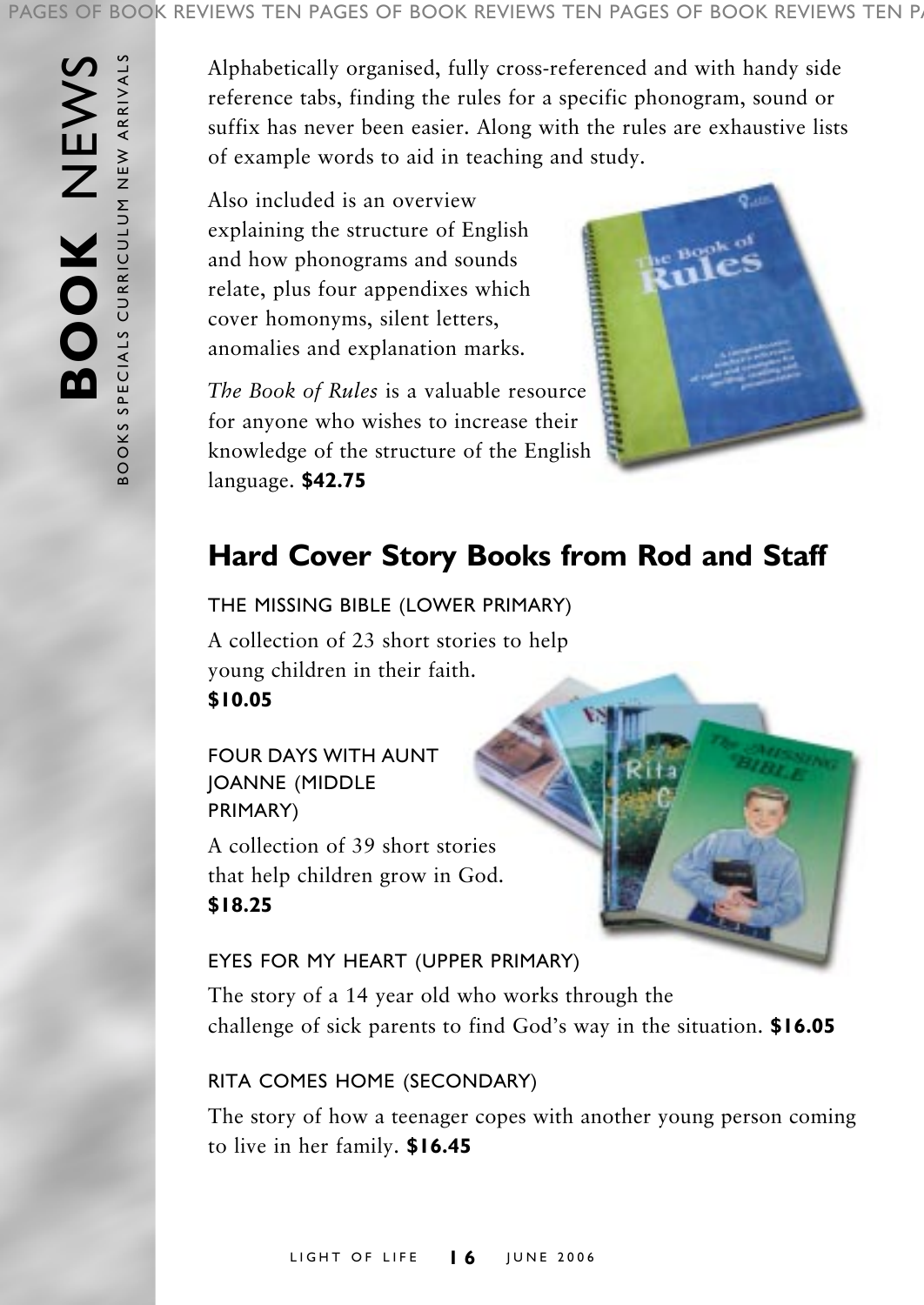#### PAGES OF BOOK REVIEWS TEN PAGES OF BOOK REVIEWS TEN PAGES OF BOOK REVIEWS TEN P.

BOOKS SPECIALS CURRICULUM NEW ARRIVALS **BOOK** NEWS BOOKS SPECIALS CURRICULUM NEW ARRIVALS BOOK NEWS

Alphabetically organised, fully cross-referenced and with handy side reference tabs, finding the rules for a specific phonogram, sound or suffix has never been easier. Along with the rules are exhaustive lists of example words to aid in teaching and study.

Also included is an overview explaining the structure of English and how phonograms and sounds relate, plus four appendixes which cover homonyms, silent letters, anomalies and explanation marks.

*The Book of Rules* is a valuable resource for anyone who wishes to increase their knowledge of the structure of the English language. **\$42.75**



# **Hard Cover Story Books from Rod and Staff**

THE MISSING BIBLE (LOWER PRIMARY) A collection of 23 short stories to help young children in their faith. **\$10.05**

# FOUR DAYS WITH AUNT JOANNE (MIDDLE PRIMARY)

A collection of 39 short stories that help children grow in God. **\$18.25**

# EYES FOR MY HEART (UPPER PRIMARY)

The story of a 14 year old who works through the challenge of sick parents to find God's way in the situation. **\$16.05** 

# RITA COMES HOME (SECONDARY)

The story of how a teenager copes with another young person coming to live in her family. **\$16.45**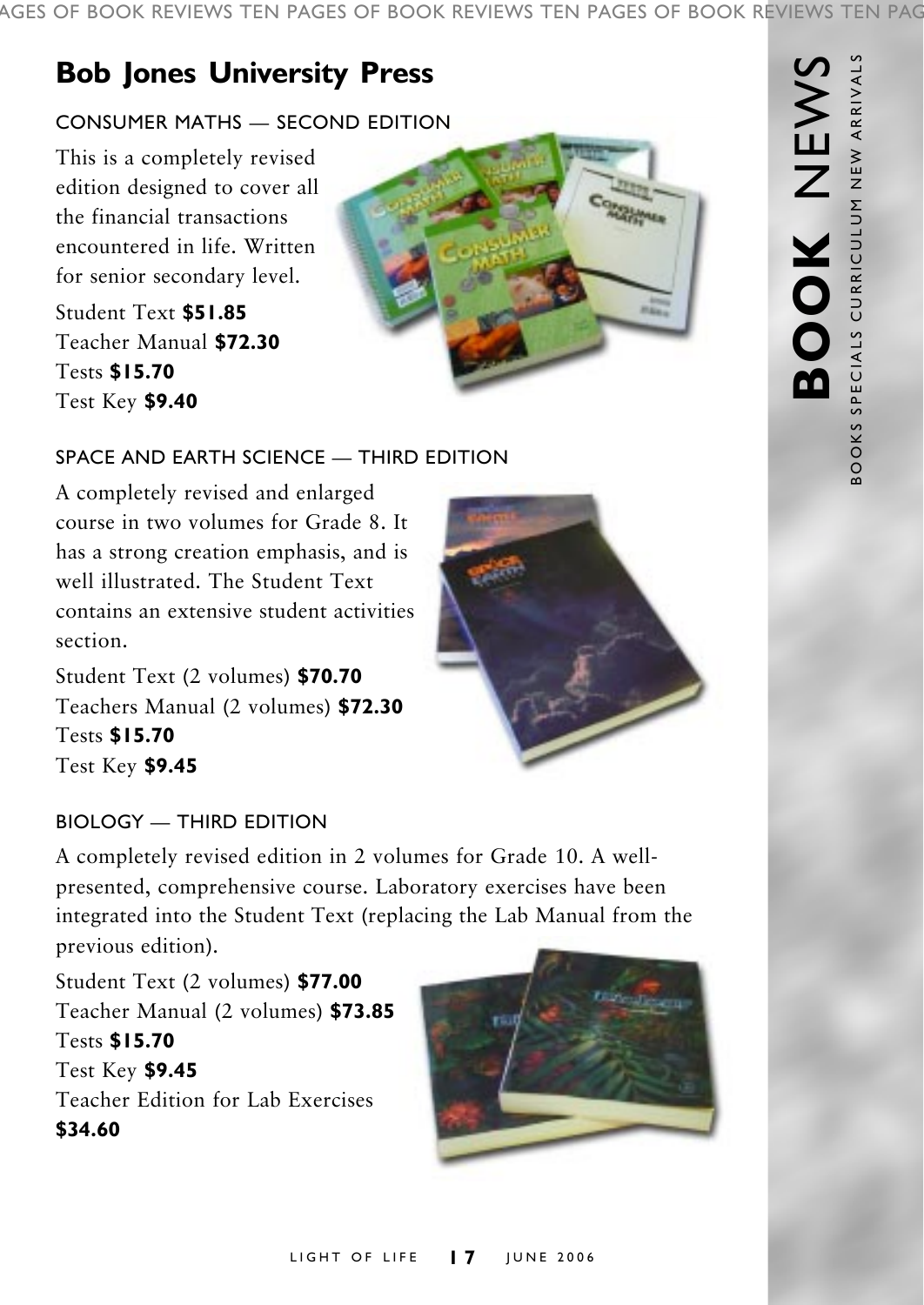# **Bob Jones University Press**

# CONSUMER MATHS - SECOND EDITION

This is a completely revised edition designed to cover all the financial transactions encountered in life. Written for senior secondary level.

Student Text **\$51.85** Teacher Manual **\$72.30** Tests **\$15.70** Test Key **\$9.40**



# $S$ PACE AND EARTH SCIENCE  $=$  THIRD EDITION

A completely revised and enlarged course in two volumes for Grade 8. It has a strong creation emphasis, and is well illustrated. The Student Text contains an extensive student activities section.

Student Text (2 volumes) **\$70.70** Teachers Manual (2 volumes) **\$72.30** Tests **\$15.70** Test Key **\$9.45**



# $BIOLOGY = THIRD$  EDITION

A completely revised edition in 2 volumes for Grade 10. A wellpresented, comprehensive course. Laboratory exercises have been integrated into the Student Text (replacing the Lab Manual from the previous edition).

Student Text (2 volumes) **\$77.00** Teacher Manual (2 volumes) **\$73.85** Tests **\$15.70** Test Key **\$9.45** Teacher Edition for Lab Exercises **\$34.60**

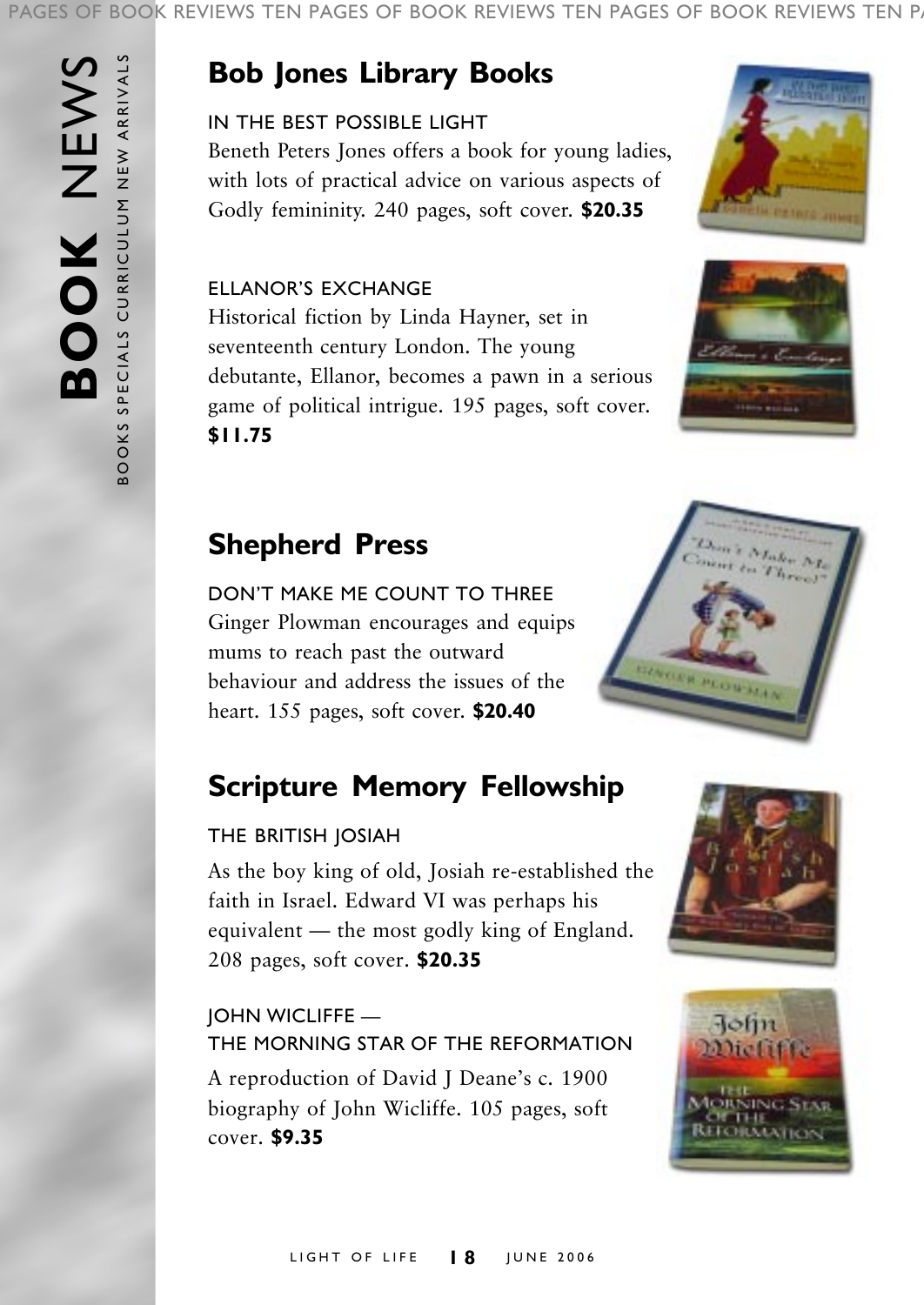#### PAGES OF BOOK REVIEWS TEN PAGES OF BOOK REVIEWS TEN PAGES OF BOOK REVIEWS TEN P.

# **Bob Jones Library Books**

# IN THE BEST POSSIBLE LIGHT

Beneth Peters Jones offers a book for young ladies, with lots of practical advice on various aspects of Godly femininity. 240 pages, soft cover. **\$20.35**

### ELLANORíS EXCHANGE

Historical fiction by Linda Hayner, set in seventeenth century London. The young debutante, Ellanor, becomes a pawn in a serious game of political intrigue. 195 pages, soft cover. **\$11.75**





# **Shepherd Press**

DON'T MAKE ME COUNT TO THREE Ginger Plowman encourages and equips mums to reach past the outward behaviour and address the issues of the heart. 155 pages, soft cover. **\$20.40**

# **Scripture Memory Fellowship**

# THE BRITISH JOSIAH

As the boy king of old, Josiah re-established the faith in Israel. Edward VI was perhaps his equivalent  $-$  the most godly king of England. 208 pages, soft cover. **\$20.35**

# **JOHN WICLIFFE —** THE MORNING STAR OF THE REFORMATION

A reproduction of David J Deane's c. 1900 biography of John Wicliffe. 105 pages, soft cover. **\$9.35**





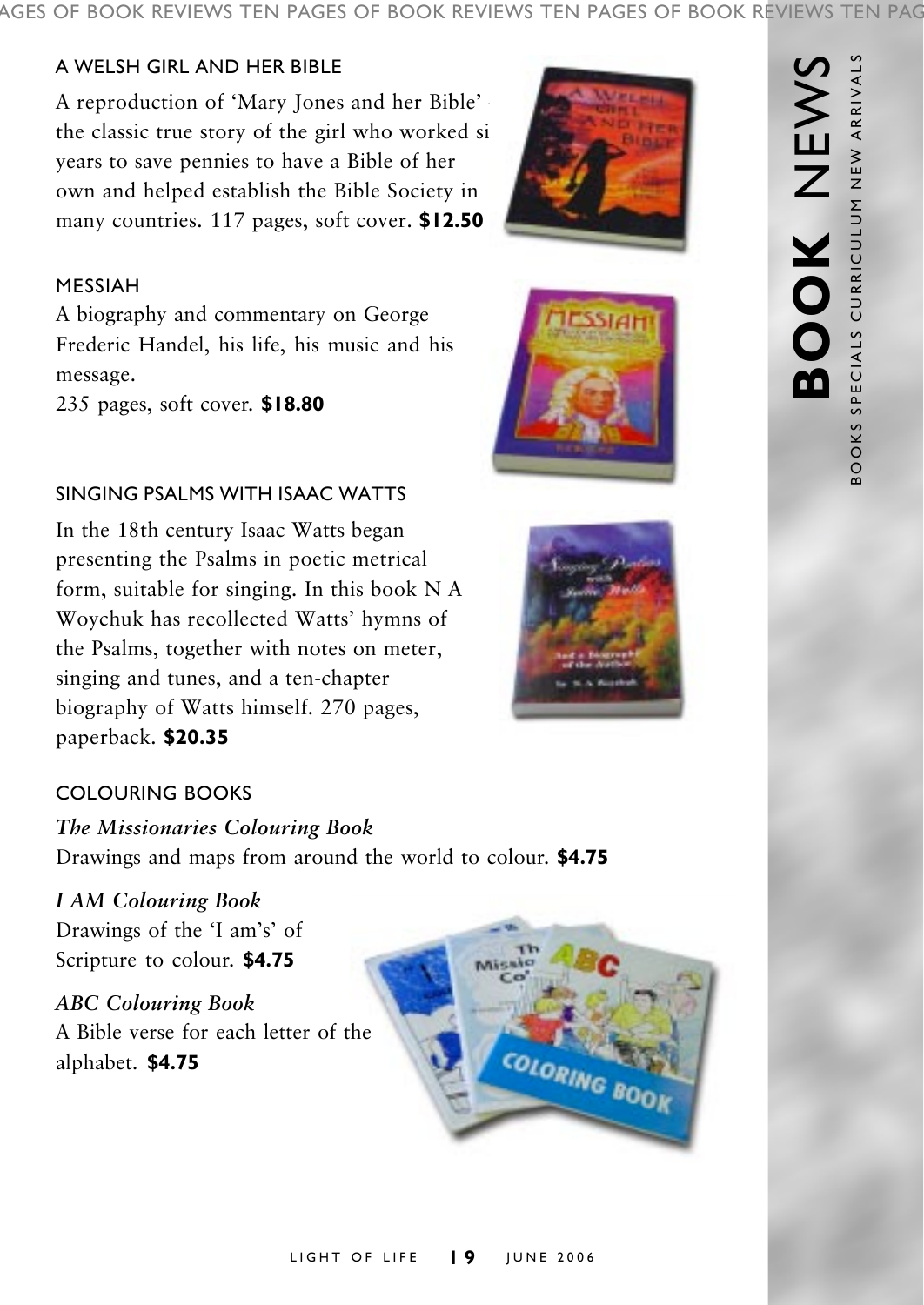AGES OF BOOK REVIEWS TEN PAGES OF BOOK REVIEWS TEN PAGES OF BOOK REVIEWS TEN PAG

### A WELSH GIRL AND HER BIBLE

A reproduction of 'Mary Jones and her Bible' the classic true story of the girl who worked si years to save pennies to have a Bible of her own and helped establish the Bible Society in many countries. 117 pages, soft cover. **\$12.50**

#### MESSIAH

A biography and commentary on George Frederic Handel, his life, his music and his message.

235 pages, soft cover. **\$18.80**

#### SINGING PSALMS WITH ISAAC WATTS

In the 18th century Isaac Watts began presenting the Psalms in poetic metrical form, suitable for singing. In this book N A Woychuk has recollected Watts' hymns of the Psalms, together with notes on meter, singing and tunes, and a ten-chapter biography of Watts himself. 270 pages, paperback. **\$20.35**

# COLOURING BOOKS

*The Missionaries Colouring Book* Drawings and maps from around the world to colour. **\$4.75**

*I AM Colouring Book* Drawings of the 'I am's' of Scripture to colour. **\$4.75**

*ABC Colouring Book* A Bible verse for each letter of the alphabet. **\$4.75**



COLORING BOOK





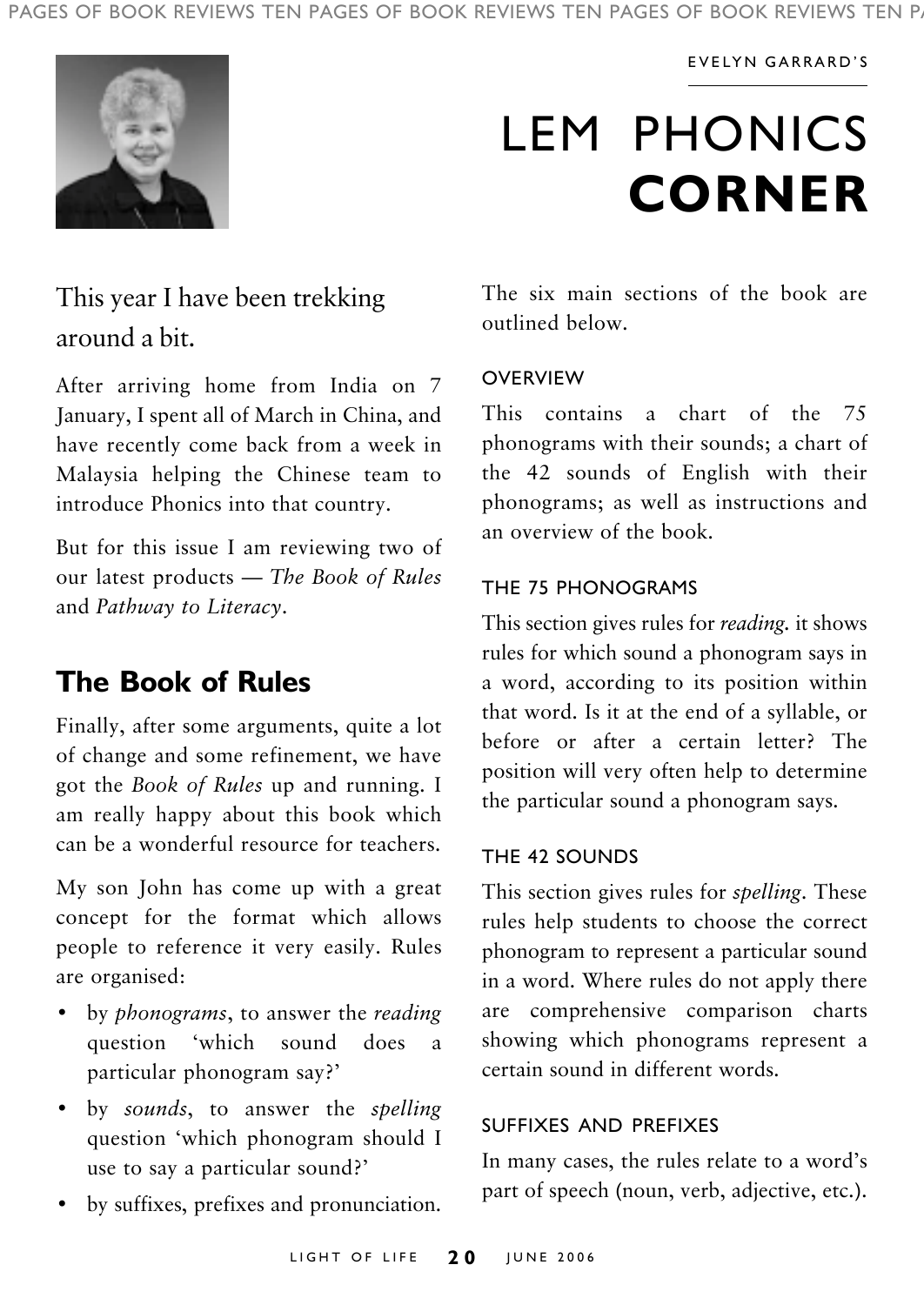#### EVELYN GARRARDíS



# LEM PHONICS **CORNER**

# This year I have been trekking around a bit.

After arriving home from India on 7 January, I spent all of March in China, and have recently come back from a week in Malaysia helping the Chinese team to introduce Phonics into that country.

But for this issue I am reviewing two of our latest products – *The Book of Rules* and *Pathway to Literacy*.

# **The Book of Rules**

Finally, after some arguments, quite a lot of change and some refinement, we have got the *Book of Rules* up and running. I am really happy about this book which can be a wonderful resource for teachers.

My son John has come up with a great concept for the format which allows people to reference it very easily. Rules are organised:

- by *phonograms*, to answer the *reading* question ëwhich sound does a particular phonogram say?'
- by *sounds*, to answer the *spelling* question ëwhich phonogram should I use to say a particular sound?'
- by suffixes, prefixes and pronunciation.

The six main sections of the book are outlined below.

#### **OVERVIEW**

This contains a chart of the 75 phonograms with their sounds; a chart of the 42 sounds of English with their phonograms; as well as instructions and an overview of the book.

#### THE 75 PHONOGRAMS

This section gives rules for *reading.* it shows rules for which sound a phonogram says in a word, according to its position within that word. Is it at the end of a syllable, or before or after a certain letter? The position will very often help to determine the particular sound a phonogram says.

#### THE 42 SOUNDS

This section gives rules for *spelling*. These rules help students to choose the correct phonogram to represent a particular sound in a word. Where rules do not apply there are comprehensive comparison charts showing which phonograms represent a certain sound in different words.

#### SUFFIXES AND PREFIXES

In many cases, the rules relate to a word's part of speech (noun, verb, adjective, etc.).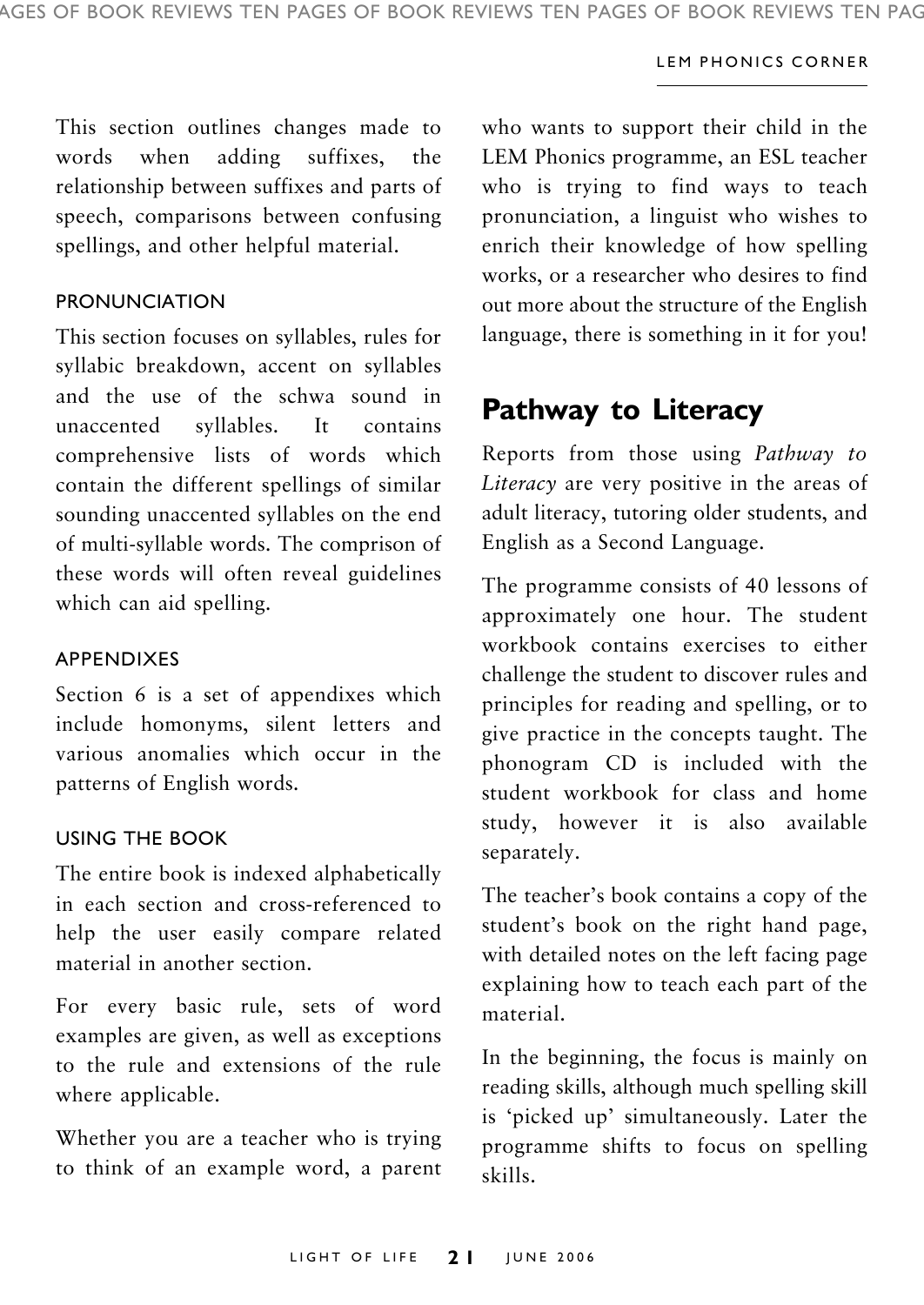#### LEM PHONICS CORNER

This section outlines changes made to words when adding suffixes, the relationship between suffixes and parts of speech, comparisons between confusing spellings, and other helpful material.

#### PRONUNCIATION

This section focuses on syllables, rules for syllabic breakdown, accent on syllables and the use of the schwa sound in unaccented syllables. It contains comprehensive lists of words which contain the different spellings of similar sounding unaccented syllables on the end of multi-syllable words. The comprison of these words will often reveal guidelines which can aid spelling.

#### APPENDIXES

Section 6 is a set of appendixes which include homonyms, silent letters and various anomalies which occur in the patterns of English words.

#### USING THE BOOK

The entire book is indexed alphabetically in each section and cross-referenced to help the user easily compare related material in another section.

For every basic rule, sets of word examples are given, as well as exceptions to the rule and extensions of the rule where applicable.

Whether you are a teacher who is trying to think of an example word, a parent who wants to support their child in the LEM Phonics programme, an ESL teacher who is trying to find ways to teach pronunciation, a linguist who wishes to enrich their knowledge of how spelling works, or a researcher who desires to find out more about the structure of the English language, there is something in it for you!

# **Pathway to Literacy**

Reports from those using *Pathway to Literacy* are very positive in the areas of adult literacy, tutoring older students, and English as a Second Language.

The programme consists of 40 lessons of approximately one hour. The student workbook contains exercises to either challenge the student to discover rules and principles for reading and spelling, or to give practice in the concepts taught. The phonogram CD is included with the student workbook for class and home study, however it is also available separately.

The teacher's book contains a copy of the student's book on the right hand page, with detailed notes on the left facing page explaining how to teach each part of the material.

In the beginning, the focus is mainly on reading skills, although much spelling skill is 'picked up' simultaneously. Later the programme shifts to focus on spelling skills.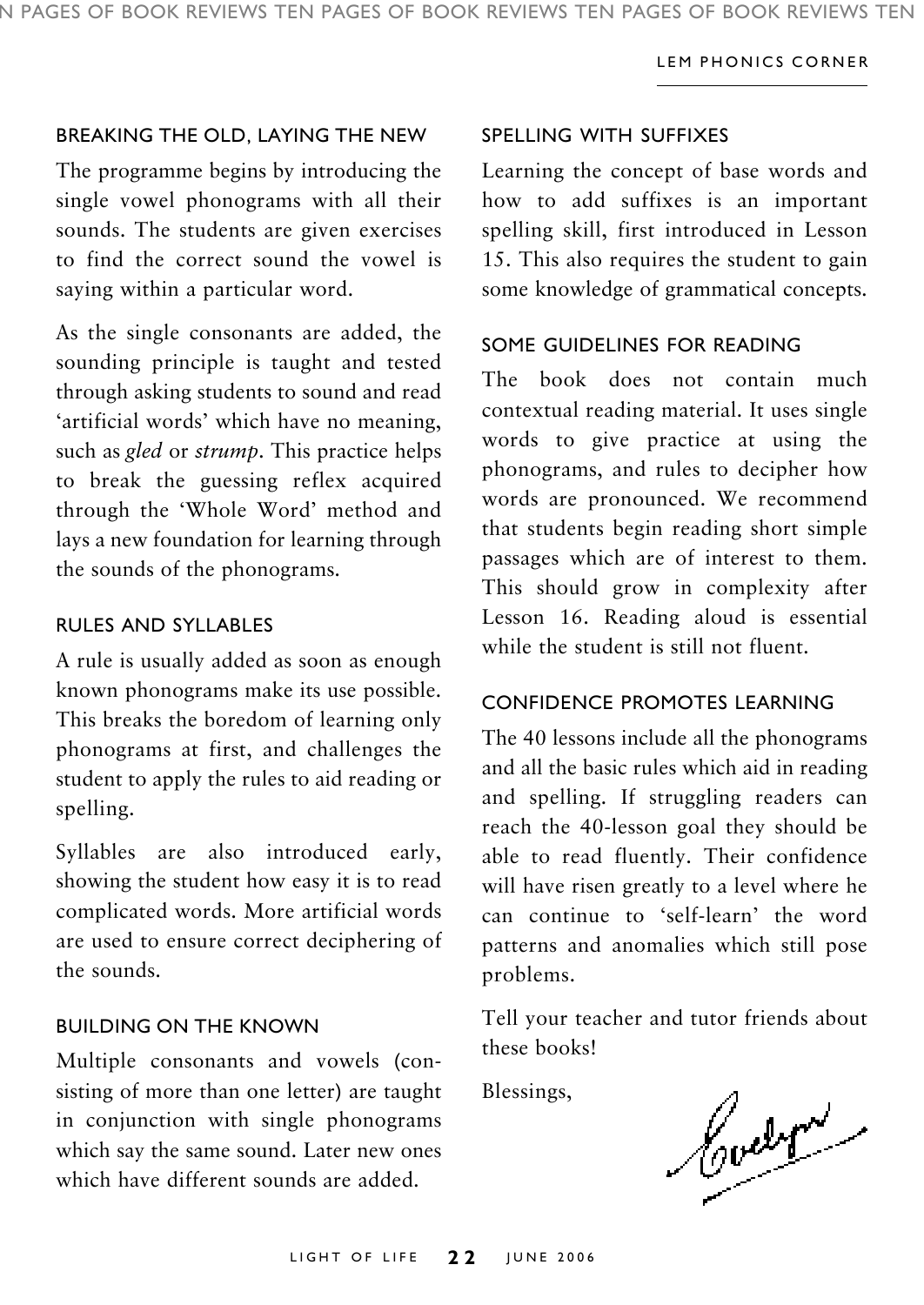#### LEM PHONICS CORNER

#### BREAKING THE OLD, LAYING THE NEW

The programme begins by introducing the single vowel phonograms with all their sounds. The students are given exercises to find the correct sound the vowel is saying within a particular word.

As the single consonants are added, the sounding principle is taught and tested through asking students to sound and read 'artificial words' which have no meaning, such as *gled* or *strump*. This practice helps to break the guessing reflex acquired through the 'Whole Word' method and lays a new foundation for learning through the sounds of the phonograms.

#### RULES AND SYLLABLES

A rule is usually added as soon as enough known phonograms make its use possible. This breaks the boredom of learning only phonograms at first, and challenges the student to apply the rules to aid reading or spelling.

Syllables are also introduced early, showing the student how easy it is to read complicated words. More artificial words are used to ensure correct deciphering of the sounds.

#### BUILDING ON THE KNOWN

Multiple consonants and vowels (consisting of more than one letter) are taught in conjunction with single phonograms which say the same sound. Later new ones which have different sounds are added.

#### SPELLING WITH SUFFIXES

Learning the concept of base words and how to add suffixes is an important spelling skill, first introduced in Lesson 15. This also requires the student to gain some knowledge of grammatical concepts.

#### SOME GUIDELINES FOR READING

The book does not contain much contextual reading material. It uses single words to give practice at using the phonograms, and rules to decipher how words are pronounced. We recommend that students begin reading short simple passages which are of interest to them. This should grow in complexity after Lesson 16. Reading aloud is essential while the student is still not fluent.

#### CONFIDENCE PROMOTES LEARNING

The 40 lessons include all the phonograms and all the basic rules which aid in reading and spelling. If struggling readers can reach the 40-lesson goal they should be able to read fluently. Their confidence will have risen greatly to a level where he can continue to 'self-learn' the word patterns and anomalies which still pose problems.

Tell your teacher and tutor friends about these books!

Blessings,

Court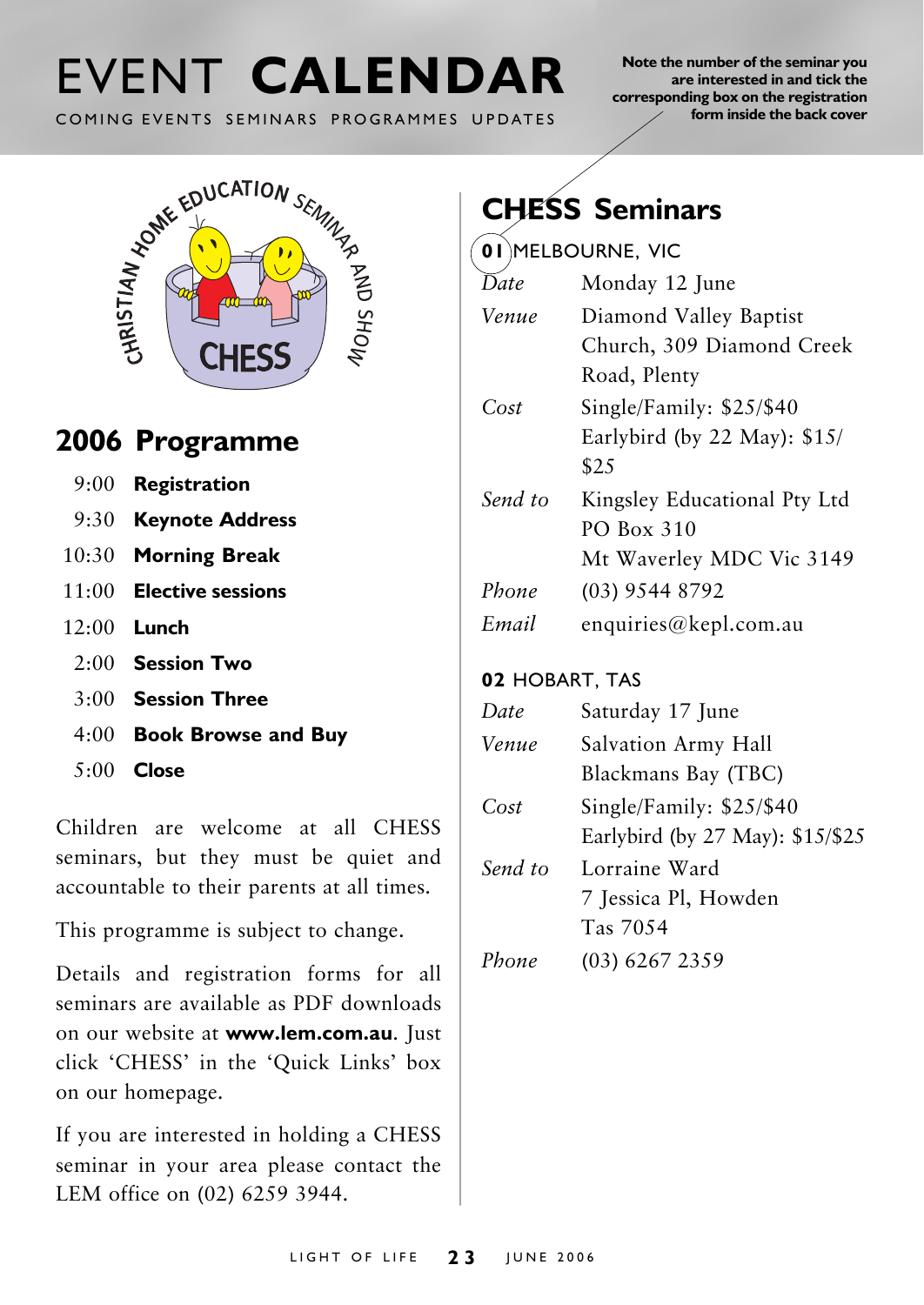COMING EVENTS SEMINARS PROGRAMMES UPDATES

**Note the number of the seminar you are interested in and tick the corresponding box on the registration form inside the back cover**



# **2006 Programme**

- 9:00 **Registration**
- 9:30 **Keynote Address**
- 10:30 **Morning Break**
- 11:00 **Elective sessions**
- 12:00 **Lunch**
	- 2:00 **Session Two**
	- 3:00 **Session Three**
	- 4:00 **Book Browse and Buy**
	- 5:00 **Close**

Children are welcome at all CHESS seminars, but they must be quiet and accountable to their parents at all times.

This programme is subject to change.

Details and registration forms for all seminars are available as PDF downloads on our website at **www.lem.com.au**. Just click 'CHESS' in the 'Quick Links' box on our homepage.

If you are interested in holding a CHESS seminar in your area please contact the LEM office on (02) 6259 3944.

# **CHESS Seminars**

**01** MELBOURNE, VIC

| Date    | Monday 12 June                |  |
|---------|-------------------------------|--|
| Venue   | Diamond Valley Baptist        |  |
|         | Church, 309 Diamond Creek     |  |
|         | Road, Plenty                  |  |
| Cost    | Single/Family: \$25/\$40      |  |
|         | Earlybird (by 22 May): $$15/$ |  |
|         | \$2.5                         |  |
| Send to | Kingsley Educational Pty Ltd  |  |
|         | PO Box 310                    |  |
|         | Mt Waverley MDC Vic 3149      |  |
| Phone   | $(03)$ 9544 8792              |  |
| Email   | enquiries@kepl.com.au         |  |
|         |                               |  |

# **02** HOBART, TAS

| Date    | Saturday 17 June                 |  |
|---------|----------------------------------|--|
| Venue   | Salvation Army Hall              |  |
|         | Blackmans Bay (TBC)              |  |
| Cost    | Single/Family: \$25/\$40         |  |
|         | Earlybird (by 27 May): \$15/\$25 |  |
| Send to | Lorraine Ward                    |  |
|         | 7 Jessica Pl, Howden             |  |
|         | Tas 70.54                        |  |
| Phone   | (03) 6267 2359                   |  |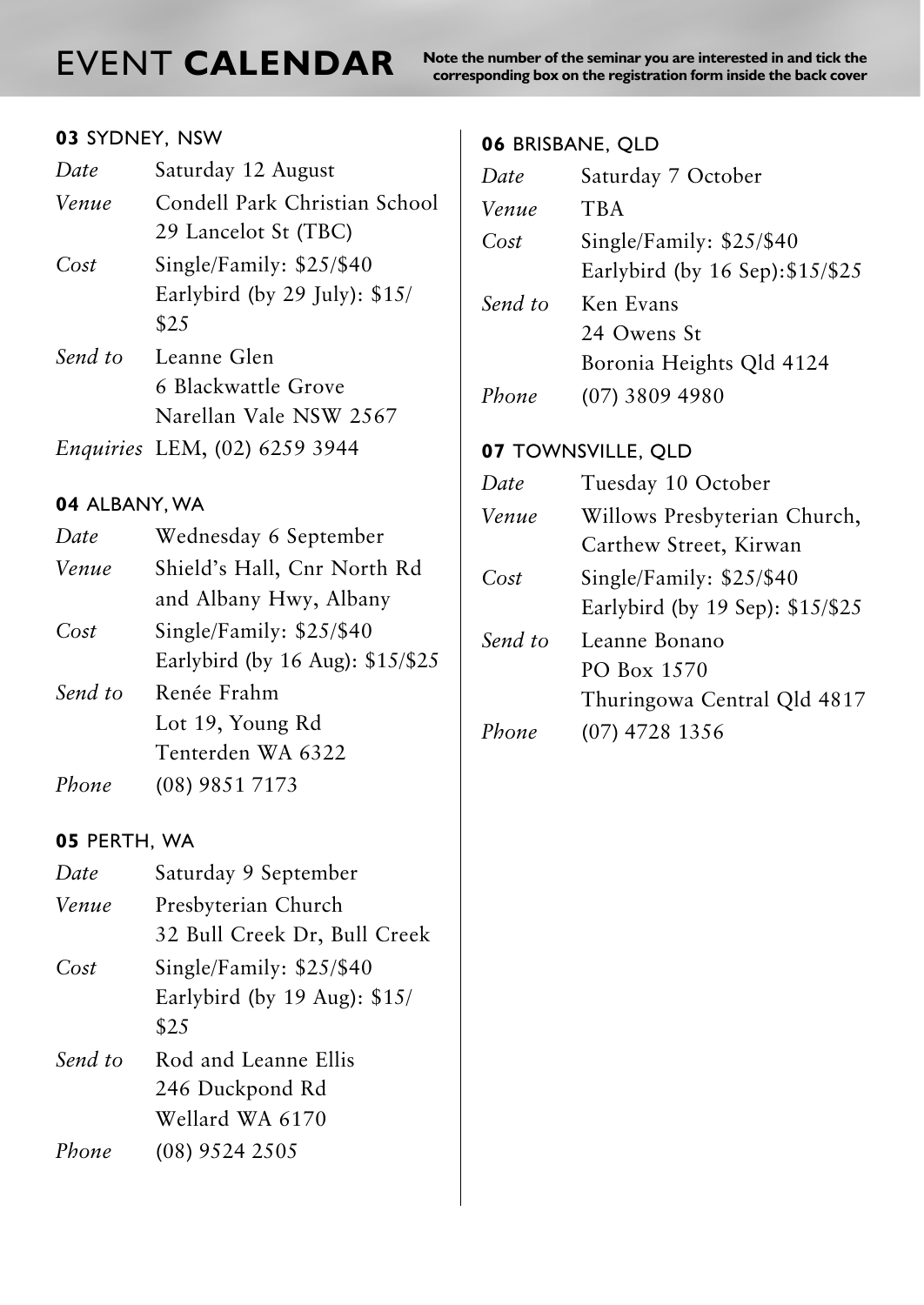**NORT CALENDAR** Note the number of the seminar you are interested in and tick the seminar  $\frac{1}{\text{core}}$  and tick cover

### **03** SYDNEY, NSW

| Date    | Saturday 12 August             |  |
|---------|--------------------------------|--|
| Venue   | Condell Park Christian School  |  |
|         | 29 Lancelot St (TBC)           |  |
| Cost    | Single/Family: $$25/$40$       |  |
|         | Earlybird (by 29 July): $$15/$ |  |
|         | \$2.5                          |  |
| Send to | Leanne Glen                    |  |
|         | 6 Blackwattle Grove            |  |
|         | Narellan Vale NSW 2567         |  |
|         | Enquiries LEM, (02) 6259 3944  |  |

### **04** ALBANY, WA

| Date  | Wednesday 6 September            |  |
|-------|----------------------------------|--|
| Venue | Shield's Hall, Cnr North Rd      |  |
|       | and Albany Hwy, Albany           |  |
| Cost  | Single/Family: $$25/$40$         |  |
|       | Earlybird (by 16 Aug): \$15/\$25 |  |

*Send to* Renée Frahm Lot 19, Young Rd Tenterden WA 6322

*Phone* (08) 9851 7173

#### **05** PERTH, WA

| Date    | Saturday 9 September         |  |
|---------|------------------------------|--|
| Venue   | Presbyterian Church          |  |
|         | 32 Bull Creek Dr, Bull Creek |  |
| Cost    | Single/Family: \$25/\$40     |  |
|         | Earlybird (by 19 Aug): \$15/ |  |
|         | \$2.5                        |  |
| Send to | Rod and Leanne Ellis         |  |
|         | 246 Duckpond Rd              |  |
|         | Wellard WA 6170              |  |
| Phone   | (08) 9524 2505               |  |
|         |                              |  |

### **06** BRISBANE, QLD

| Date    | Saturday 7 October               |
|---------|----------------------------------|
| Venue   | <b>TBA</b>                       |
| Cost    | Single/Family: $$25/$40$         |
|         | Earlybird (by 16 Sep): \$15/\$25 |
| Send to | Ken Evans                        |
|         | 24 Owens St                      |
|         | Boronia Heights Qld 4124         |
| Phone   | $(07)$ 3809 4980                 |
|         |                                  |

# **07** TOWNSVILLE, QLD

| Date    | Tuesday 10 October               |  |
|---------|----------------------------------|--|
| Venue   | Willows Presbyterian Church,     |  |
|         | Carthew Street, Kirwan           |  |
| Cost    | Single/Family: \$25/\$40         |  |
|         | Earlybird (by 19 Sep): \$15/\$25 |  |
| Send to | Leanne Bonano                    |  |
|         | PO Box 1570                      |  |
|         | Thuringowa Central Qld 4817      |  |
| Phone   | $(07)$ 4728 1356                 |  |